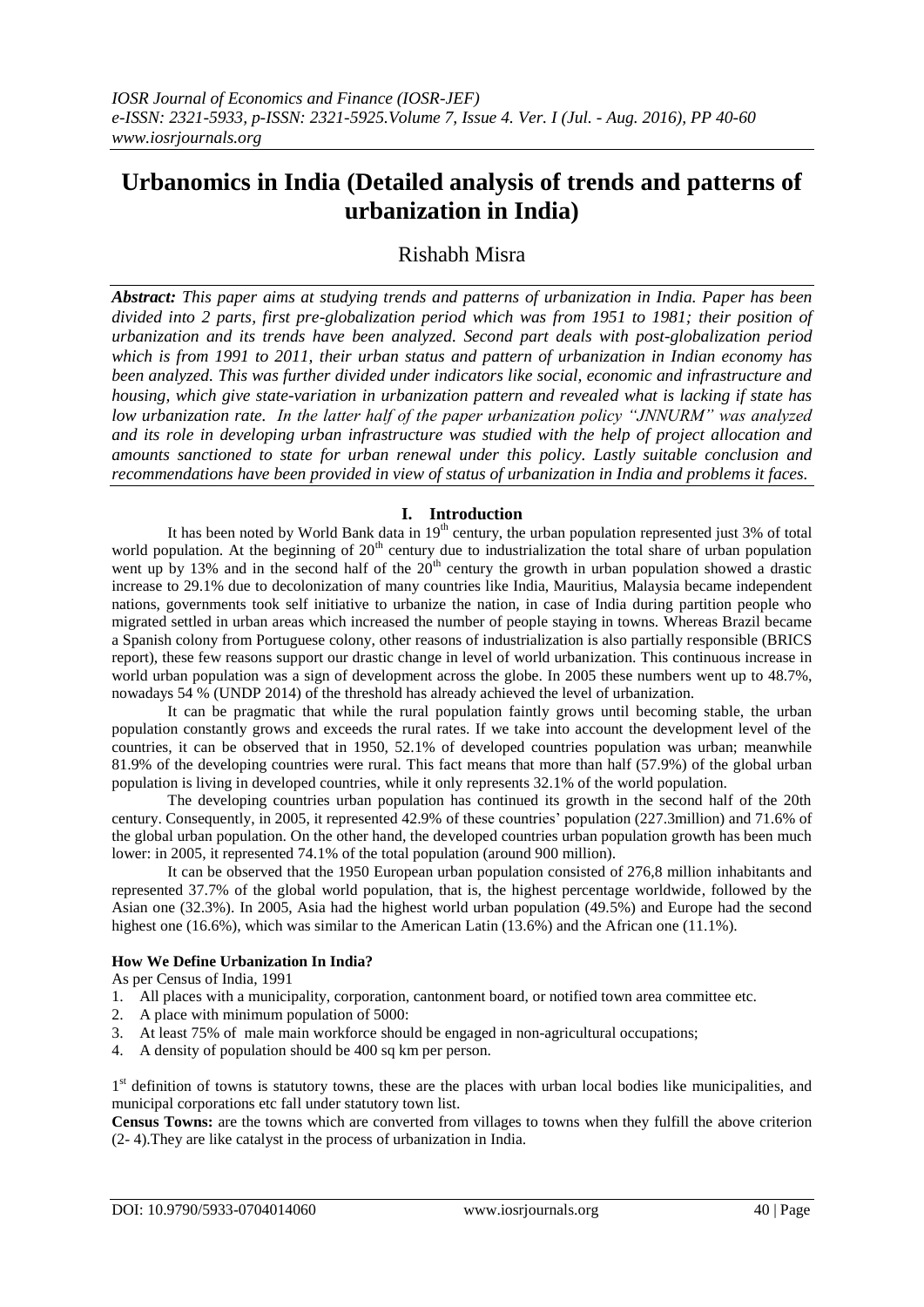# **Urbanomics in India (Detailed analysis of trends and patterns of urbanization in India)**

## Rishabh Misra

*Abstract: This paper aims at studying trends and patterns of urbanization in India. Paper has been divided into 2 parts, first pre-globalization period which was from 1951 to 1981; their position of urbanization and its trends have been analyzed. Second part deals with post-globalization period which is from 1991 to 2011, their urban status and pattern of urbanization in Indian economy has been analyzed. This was further divided under indicators like social, economic and infrastructure and housing, which give state-variation in urbanization pattern and revealed what is lacking if state has low urbanization rate. In the latter half of the paper urbanization policy "JNNURM" was analyzed and its role in developing urban infrastructure was studied with the help of project allocation and amounts sanctioned to state for urban renewal under this policy. Lastly suitable conclusion and recommendations have been provided in view of status of urbanization in India and problems it faces.*

## **I. Introduction**

It has been noted by World Bank data in 19<sup>th</sup> century, the urban population represented just 3% of total world population. At the beginning of  $20<sup>th</sup>$  century due to industrialization the total share of urban population went up by 13% and in the second half of the  $20<sup>th</sup>$  century the growth in urban population showed a drastic increase to 29.1% due to decolonization of many countries like India, Mauritius, Malaysia became independent nations, governments took self initiative to urbanize the nation, in case of India during partition people who migrated settled in urban areas which increased the number of people staying in towns. Whereas Brazil became a Spanish colony from Portuguese colony, other reasons of industrialization is also partially responsible (BRICS report), these few reasons support our drastic change in level of world urbanization. This continuous increase in world urban population was a sign of development across the globe. In 2005 these numbers went up to 48.7%, nowadays 54 % (UNDP 2014) of the threshold has already achieved the level of urbanization.

It can be pragmatic that while the rural population faintly grows until becoming stable, the urban population constantly grows and exceeds the rural rates. If we take into account the development level of the countries, it can be observed that in 1950, 52.1% of developed countries population was urban; meanwhile 81.9% of the developing countries were rural. This fact means that more than half (57.9%) of the global urban population is living in developed countries, while it only represents 32.1% of the world population.

The developing countries urban population has continued its growth in the second half of the 20th century. Consequently, in 2005, it represented 42.9% of these countries' population (227.3million) and 71.6% of the global urban population. On the other hand, the developed countries urban population growth has been much lower: in 2005, it represented 74.1% of the total population (around 900 million).

It can be observed that the 1950 European urban population consisted of 276,8 million inhabitants and represented 37.7% of the global world population, that is, the highest percentage worldwide, followed by the Asian one (32.3%). In 2005, Asia had the highest world urban population (49.5%) and Europe had the second highest one (16.6%), which was similar to the American Latin (13.6%) and the African one (11.1%).

## **How We Define Urbanization In India?**

As per Census of India, 1991

- 1. All places with a municipality, corporation, cantonment board, or notified town area committee etc.
- 2. A place with minimum population of 5000:
- 3. At least 75% of male main workforce should be engaged in non-agricultural occupations;
- 4. A density of population should be 400 sq km per person.

1<sup>st</sup> definition of towns is statutory towns, these are the places with urban local bodies like municipalities, and municipal corporations etc fall under statutory town list.

**Census Towns:** are the towns which are converted from villages to towns when they fulfill the above criterion (2- 4).They are like catalyst in the process of urbanization in India.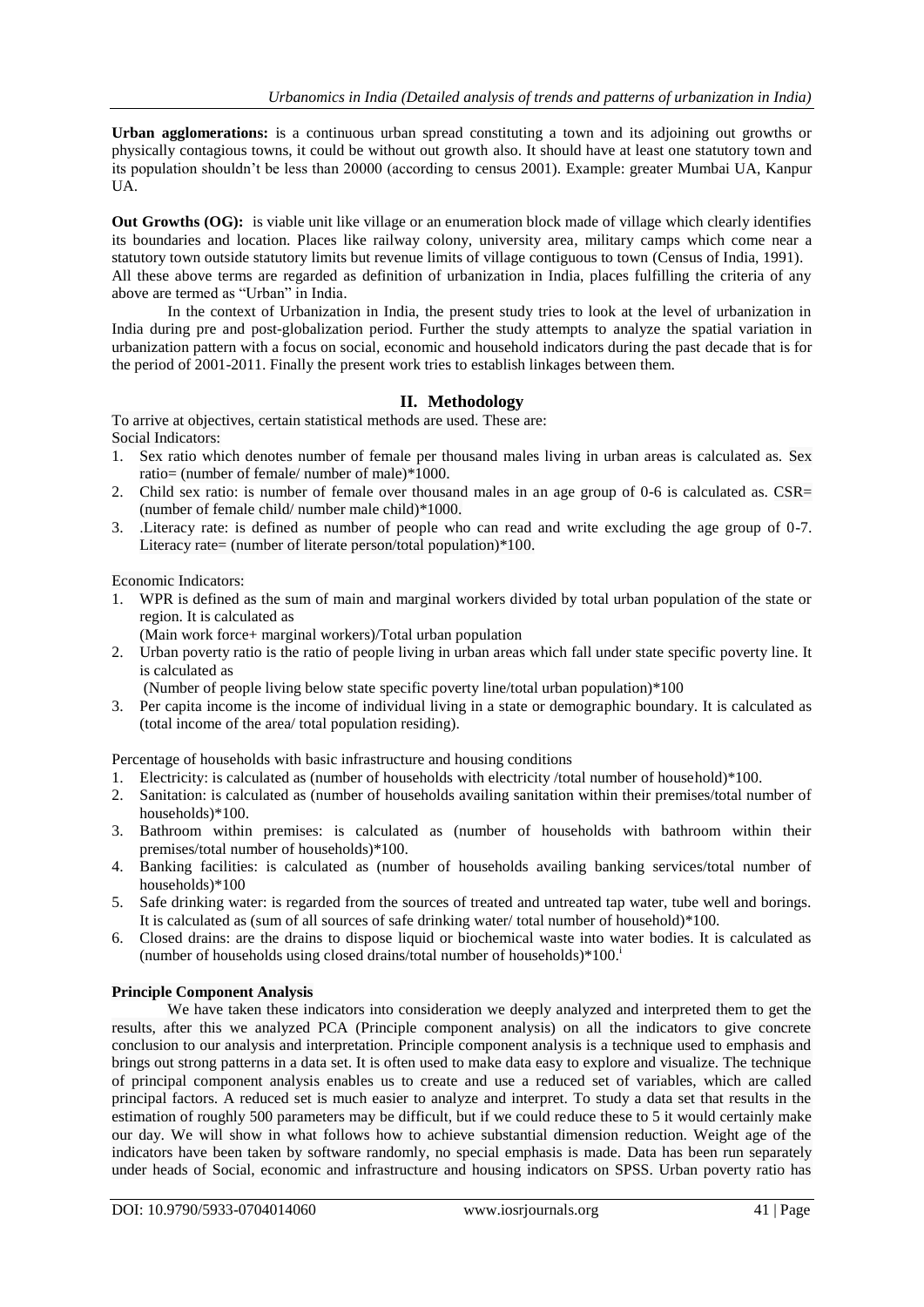**Urban agglomerations:** is a continuous urban spread constituting a town and its adjoining out growths or physically contagious towns, it could be without out growth also. It should have at least one statutory town and its population shouldn't be less than 20000 (according to census 2001). Example: greater Mumbai UA, Kanpur UA.

**Out Growths (OG):** is viable unit like village or an enumeration block made of village which clearly identifies its boundaries and location. Places like railway colony, university area, military camps which come near a statutory town outside statutory limits but revenue limits of village contiguous to town (Census of India, 1991). All these above terms are regarded as definition of urbanization in India, places fulfilling the criteria of any above are termed as "Urban" in India.

In the context of Urbanization in India, the present study tries to look at the level of urbanization in India during pre and post-globalization period. Further the study attempts to analyze the spatial variation in urbanization pattern with a focus on social, economic and household indicators during the past decade that is for the period of 2001-2011. Finally the present work tries to establish linkages between them.

## **II. Methodology**

To arrive at objectives, certain statistical methods are used. These are: Social Indicators:

- 1. Sex ratio which denotes number of female per thousand males living in urban areas is calculated as. Sex ratio= (number of female/ number of male)\*1000.
- 2. Child sex ratio: is number of female over thousand males in an age group of 0-6 is calculated as. CSR= (number of female child/ number male child)\*1000.
- 3. .Literacy rate: is defined as number of people who can read and write excluding the age group of 0-7. Literacy rate= (number of literate person/total population)\*100.

Economic Indicators:

1. WPR is defined as the sum of main and marginal workers divided by total urban population of the state or region. It is calculated as

(Main work force+ marginal workers)/Total urban population

2. Urban poverty ratio is the ratio of people living in urban areas which fall under state specific poverty line. It is calculated as

(Number of people living below state specific poverty line/total urban population)\*100

3. Per capita income is the income of individual living in a state or demographic boundary. It is calculated as (total income of the area/ total population residing).

Percentage of households with basic infrastructure and housing conditions

- 1. Electricity: is calculated as (number of households with electricity /total number of household)\*100.
- 2. Sanitation: is calculated as (number of households availing sanitation within their premises/total number of households)\*100.
- 3. Bathroom within premises: is calculated as (number of households with bathroom within their premises/total number of households)\*100.
- 4. Banking facilities: is calculated as (number of households availing banking services/total number of households)\*100
- 5. Safe drinking water: is regarded from the sources of treated and untreated tap water, tube well and borings. It is calculated as (sum of all sources of safe drinking water/ total number of household)\*100.
- 6. Closed drains: are the drains to dispose liquid or biochemical waste into water bodies. It is calculated as (number of households using closed drains/total number of households)\*100.<sup>i</sup>

## **Principle Component Analysis**

We have taken these indicators into consideration we deeply analyzed and interpreted them to get the results, after this we analyzed PCA (Principle component analysis) on all the indicators to give concrete conclusion to our analysis and interpretation. Principle component analysis is a technique used to emphasis and brings out strong patterns in a data set. It is often used to make data easy to explore and visualize. The technique of principal component analysis enables us to create and use a reduced set of variables, which are called principal factors. A reduced set is much easier to analyze and interpret. To study a data set that results in the estimation of roughly 500 parameters may be difficult, but if we could reduce these to 5 it would certainly make our day. We will show in what follows how to achieve substantial dimension reduction. Weight age of the indicators have been taken by software randomly, no special emphasis is made. Data has been run separately under heads of Social, economic and infrastructure and housing indicators on SPSS. Urban poverty ratio has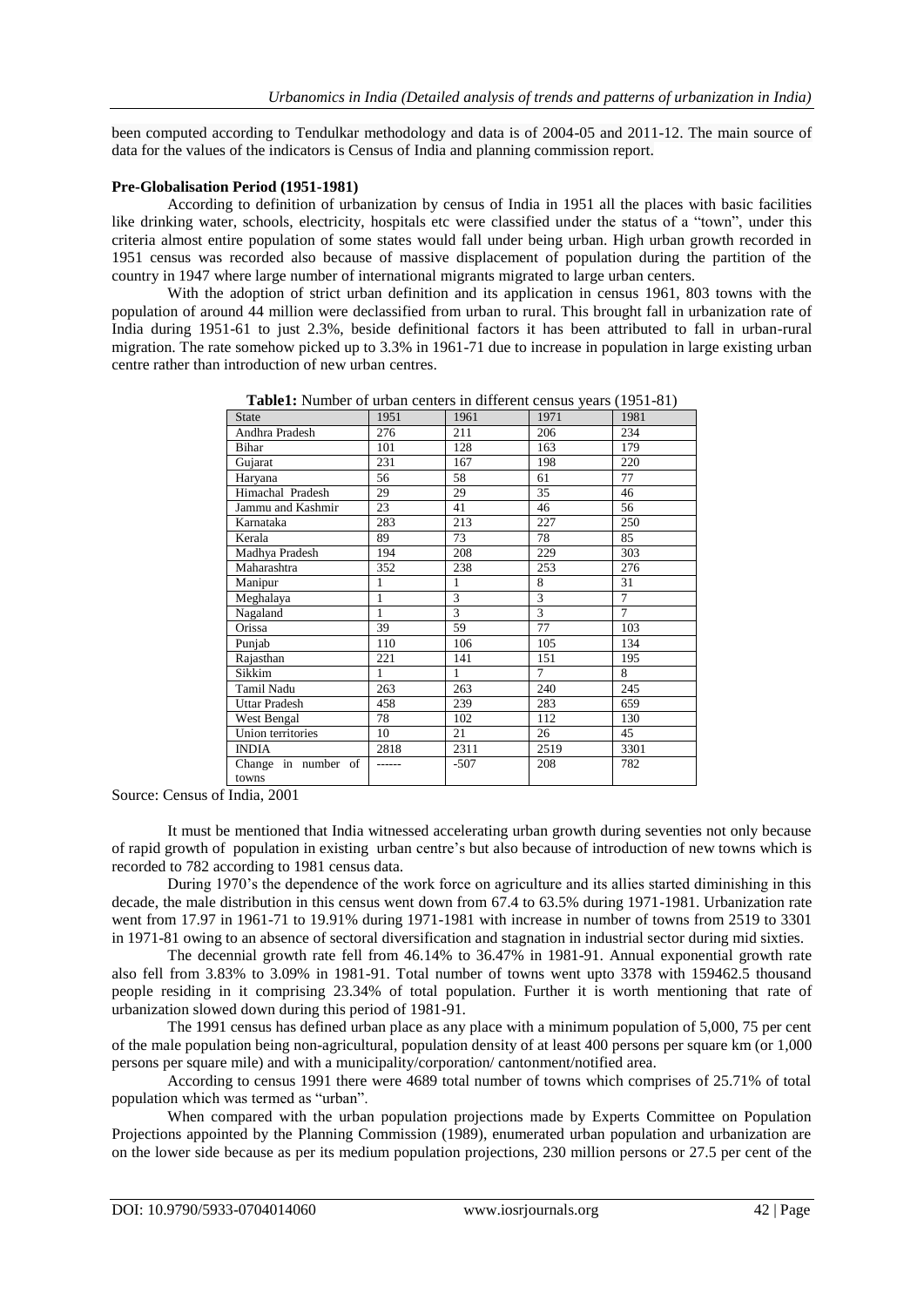been computed according to Tendulkar methodology and data is of 2004-05 and 2011-12. The main source of data for the values of the indicators is Census of India and planning commission report.

#### **Pre-Globalisation Period (1951-1981)**

According to definition of urbanization by census of India in 1951 all the places with basic facilities like drinking water, schools, electricity, hospitals etc were classified under the status of a "town", under this criteria almost entire population of some states would fall under being urban. High urban growth recorded in 1951 census was recorded also because of massive displacement of population during the partition of the country in 1947 where large number of international migrants migrated to large urban centers.

With the adoption of strict urban definition and its application in census 1961, 803 towns with the population of around 44 million were declassified from urban to rural. This brought fall in urbanization rate of India during 1951-61 to just 2.3%, beside definitional factors it has been attributed to fall in urban-rural migration. The rate somehow picked up to 3.3% in 1961-71 due to increase in population in large existing urban centre rather than introduction of new urban centres.

| <b>State</b>                 | 1951 | 1961   | 1971 | 1981           |
|------------------------------|------|--------|------|----------------|
| Andhra Pradesh               | 276  | 211    | 206  | 234            |
| Bihar                        | 101  | 128    | 163  | 179            |
| Gujarat                      | 231  | 167    | 198  | 220            |
| Haryana                      | 56   | 58     | 61   | 77             |
| Himachal Pradesh             | 29   | 29     | 35   | 46             |
| Jammu and Kashmir            | 23   | 41     | 46   | 56             |
| Karnataka                    | 283  | 213    | 227  | 250            |
| Kerala                       | 89   | 73     | 78   | 85             |
| Madhya Pradesh               | 194  | 208    | 229  | 303            |
| Maharashtra                  | 352  | 238    | 253  | 276            |
| Manipur                      | 1    | 1      | 8    | 31             |
| Meghalaya                    | 1    | 3      | 3    | $\overline{7}$ |
| Nagaland                     | 1    | 3      | 3    | 7              |
| Orissa                       | 39   | 59     | 77   | 103            |
| Punjab                       | 110  | 106    | 105  | 134            |
| Rajasthan                    | 221  | 141    | 151  | 195            |
| Sikkim                       | 1    | 1      | 7    | 8              |
| Tamil Nadu                   | 263  | 263    | 240  | 245            |
| <b>Uttar Pradesh</b>         | 458  | 239    | 283  | 659            |
| West Bengal                  | 78   | 102    | 112  | 130            |
| Union territories            | 10   | 21     | 26   | 45             |
| <b>INDIA</b>                 | 2818 | 2311   | 2519 | 3301           |
| Change in number of<br>towns |      | $-507$ | 208  | 782            |
|                              |      |        |      |                |

**Table1:** Number of urban centers in different census years (1951-81)

Source: Census of India, 2001

It must be mentioned that India witnessed accelerating urban growth during seventies not only because of rapid growth of population in existing urban centre's but also because of introduction of new towns which is recorded to 782 according to 1981 census data.

During 1970's the dependence of the work force on agriculture and its allies started diminishing in this decade, the male distribution in this census went down from 67.4 to 63.5% during 1971-1981. Urbanization rate went from 17.97 in 1961-71 to 19.91% during 1971-1981 with increase in number of towns from 2519 to 3301 in 1971-81 owing to an absence of sectoral diversification and stagnation in industrial sector during mid sixties.

The decennial growth rate fell from 46.14% to 36.47% in 1981-91. Annual exponential growth rate also fell from 3.83% to 3.09% in 1981-91. Total number of towns went upto 3378 with 159462.5 thousand people residing in it comprising 23.34% of total population. Further it is worth mentioning that rate of urbanization slowed down during this period of 1981-91.

The 1991 census has defined urban place as any place with a minimum population of 5,000, 75 per cent of the male population being non-agricultural, population density of at least 400 persons per square km (or 1,000 persons per square mile) and with a municipality/corporation/ cantonment/notified area.

According to census 1991 there were 4689 total number of towns which comprises of 25.71% of total population which was termed as "urban".

When compared with the urban population projections made by Experts Committee on Population Projections appointed by the Planning Commission (1989), enumerated urban population and urbanization are on the lower side because as per its medium population projections, 230 million persons or 27.5 per cent of the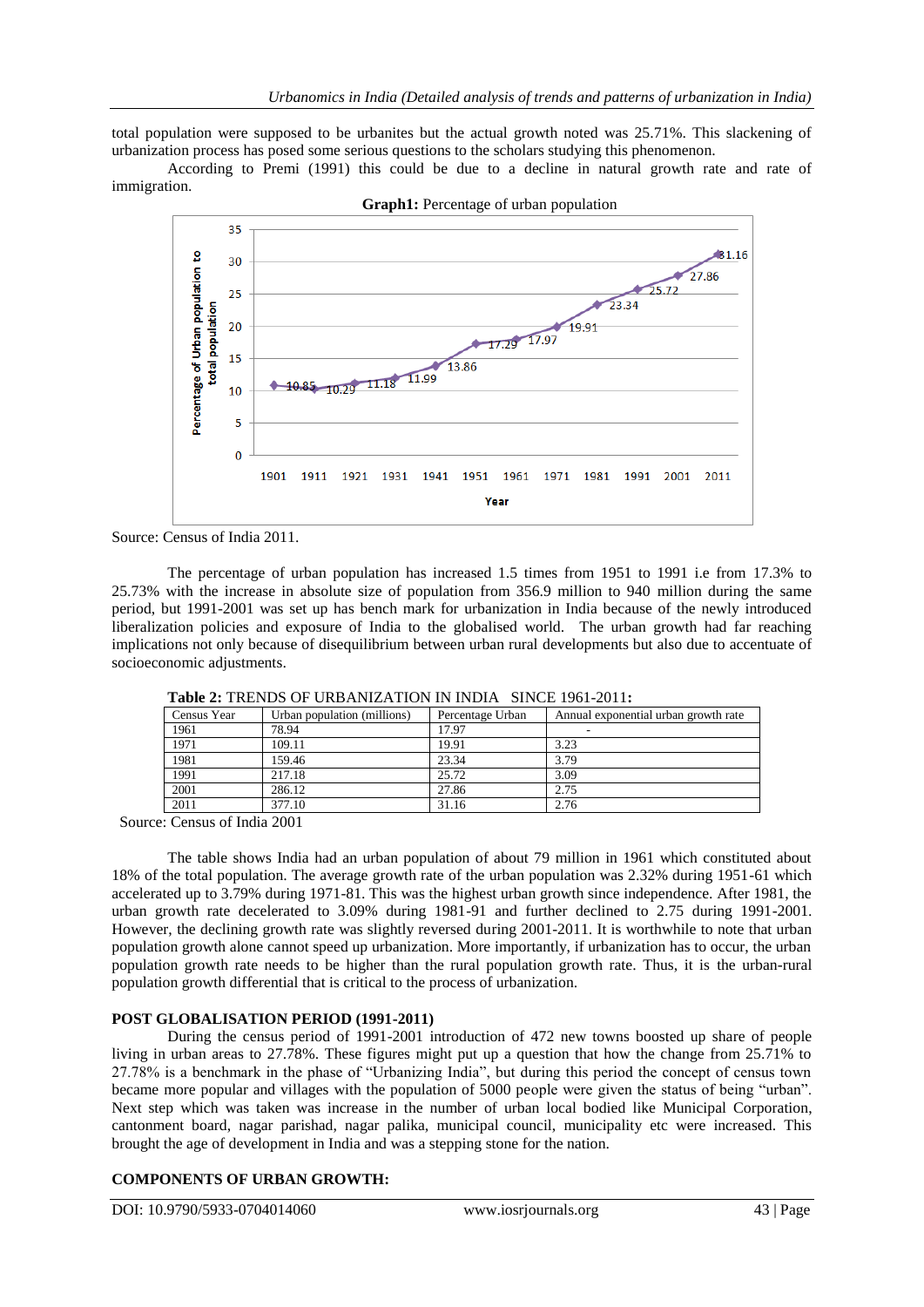total population were supposed to be urbanites but the actual growth noted was 25.71%. This slackening of urbanization process has posed some serious questions to the scholars studying this phenomenon.

According to Premi (1991) this could be due to a decline in natural growth rate and rate of immigration.



Source: Census of India 2011.

The percentage of urban population has increased 1.5 times from 1951 to 1991 i.e from 17.3% to 25.73% with the increase in absolute size of population from 356.9 million to 940 million during the same period, but 1991-2001 was set up has bench mark for urbanization in India because of the newly introduced liberalization policies and exposure of India to the globalised world. The urban growth had far reaching implications not only because of disequilibrium between urban rural developments but also due to accentuate of socioeconomic adjustments.

|             | <b>THURE I</b> THERE OF CREATING ITTOLLER THE SHACE TOT EVILLE |                  |                                      |  |
|-------------|----------------------------------------------------------------|------------------|--------------------------------------|--|
| Census Year | Urban population (millions)                                    | Percentage Urban | Annual exponential urban growth rate |  |
| 1961        | 78.94                                                          | 17.97            |                                      |  |
| 1971        | 109.11                                                         | 19.91            | 3.23                                 |  |
| 1981        | 159.46                                                         | 23.34            | 3.79                                 |  |
| 1991        | 217.18                                                         | 25.72            | 3.09                                 |  |
| 2001        | 286.12                                                         | 27.86            | 2.75                                 |  |
| 2011        | 377.10                                                         | 31.16            | 2.76                                 |  |

**Table 2:** TRENDS OF URBANIZATION IN INDIA SINCE 1961-2011**:**

Source: Census of India 2001

The table shows India had an urban population of about 79 million in 1961 which constituted about 18% of the total population. The average growth rate of the urban population was 2.32% during 1951-61 which accelerated up to 3.79% during 1971-81. This was the highest urban growth since independence. After 1981, the urban growth rate decelerated to 3.09% during 1981-91 and further declined to 2.75 during 1991-2001. However, the declining growth rate was slightly reversed during 2001-2011. It is worthwhile to note that urban population growth alone cannot speed up urbanization. More importantly, if urbanization has to occur, the urban population growth rate needs to be higher than the rural population growth rate. Thus, it is the urban-rural population growth differential that is critical to the process of urbanization.

### **POST GLOBALISATION PERIOD (1991-2011)**

During the census period of 1991-2001 introduction of 472 new towns boosted up share of people living in urban areas to 27.78%. These figures might put up a question that how the change from 25.71% to 27.78% is a benchmark in the phase of "Urbanizing India", but during this period the concept of census town became more popular and villages with the population of 5000 people were given the status of being "urban". Next step which was taken was increase in the number of urban local bodied like Municipal Corporation, cantonment board, nagar parishad, nagar palika, municipal council, municipality etc were increased. This brought the age of development in India and was a stepping stone for the nation.

## **COMPONENTS OF URBAN GROWTH:**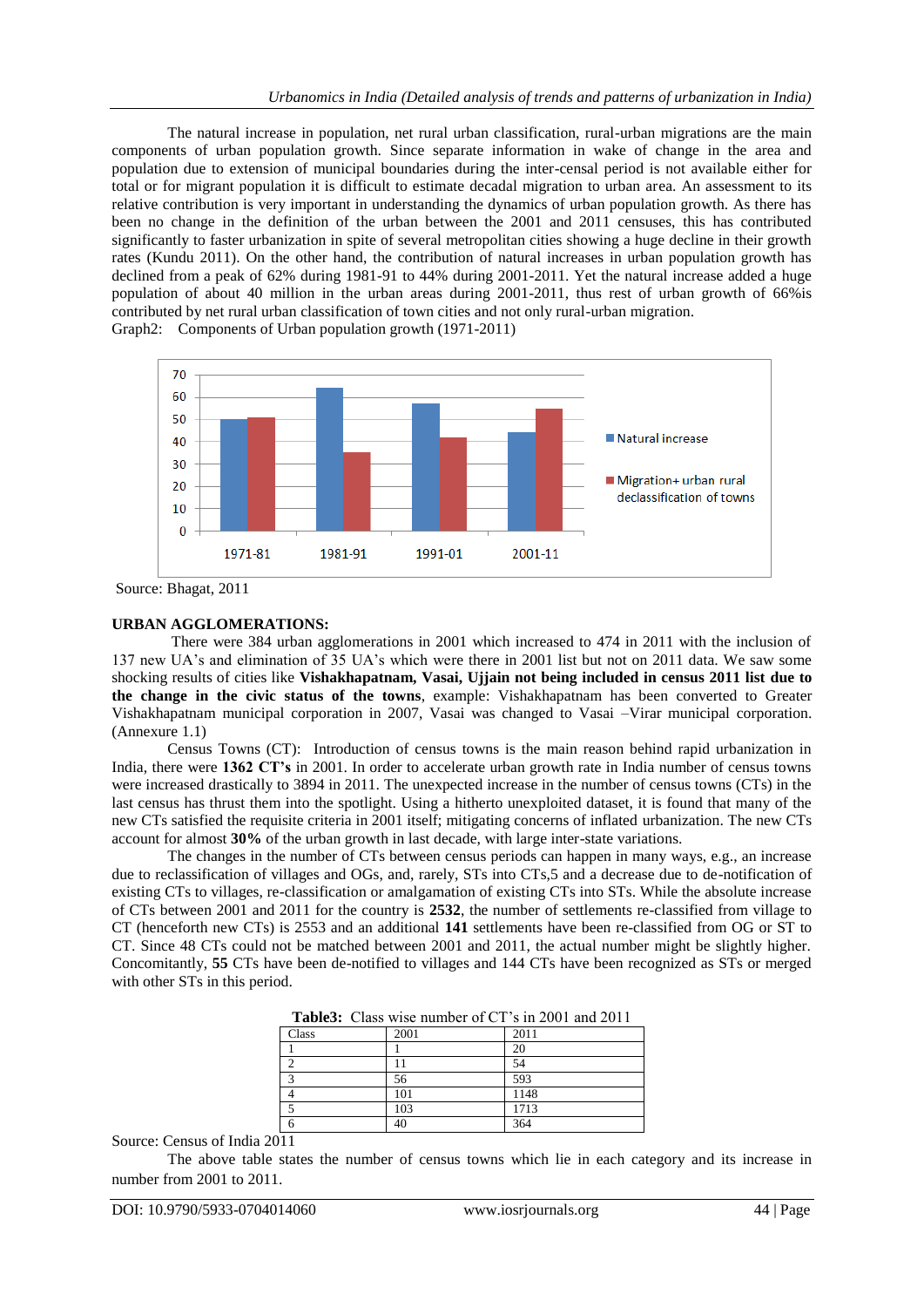The natural increase in population, net rural urban classification, rural-urban migrations are the main components of urban population growth. Since separate information in wake of change in the area and population due to extension of municipal boundaries during the inter-censal period is not available either for total or for migrant population it is difficult to estimate decadal migration to urban area. An assessment to its relative contribution is very important in understanding the dynamics of urban population growth. As there has been no change in the definition of the urban between the 2001 and 2011 censuses, this has contributed significantly to faster urbanization in spite of several metropolitan cities showing a huge decline in their growth rates (Kundu 2011). On the other hand, the contribution of natural increases in urban population growth has declined from a peak of 62% during 1981-91 to 44% during 2001-2011. Yet the natural increase added a huge population of about 40 million in the urban areas during 2001-2011, thus rest of urban growth of 66%is contributed by net rural urban classification of town cities and not only rural-urban migration. Graph2: Components of Urban population growth (1971-2011)



Source: Bhagat, 2011

### **URBAN AGGLOMERATIONS:**

There were 384 urban agglomerations in 2001 which increased to 474 in 2011 with the inclusion of 137 new UA's and elimination of 35 UA's which were there in 2001 list but not on 2011 data. We saw some shocking results of cities like **Vishakhapatnam, Vasai, Ujjain not being included in census 2011 list due to the change in the civic status of the towns**, example: Vishakhapatnam has been converted to Greater Vishakhapatnam municipal corporation in 2007, Vasai was changed to Vasai –Virar municipal corporation. (Annexure 1.1)

Census Towns (CT): Introduction of census towns is the main reason behind rapid urbanization in India, there were **1362 CT's** in 2001. In order to accelerate urban growth rate in India number of census towns were increased drastically to 3894 in 2011. The unexpected increase in the number of census towns (CTs) in the last census has thrust them into the spotlight. Using a hitherto unexploited dataset, it is found that many of the new CTs satisfied the requisite criteria in 2001 itself; mitigating concerns of inflated urbanization. The new CTs account for almost **30%** of the urban growth in last decade, with large inter-state variations.

The changes in the number of CTs between census periods can happen in many ways, e.g., an increase due to reclassification of villages and OGs, and, rarely, STs into CTs,5 and a decrease due to de-notification of existing CTs to villages, re-classification or amalgamation of existing CTs into STs. While the absolute increase of CTs between 2001 and 2011 for the country is **2532**, the number of settlements re-classified from village to CT (henceforth new CTs) is 2553 and an additional **141** settlements have been re-classified from OG or ST to CT. Since 48 CTs could not be matched between 2001 and 2011, the actual number might be slightly higher. Concomitantly, **55** CTs have been de-notified to villages and 144 CTs have been recognized as STs or merged with other STs in this period.

|  |  | <b>Table3:</b> Class wise number of CT's in 2001 and 2011 |
|--|--|-----------------------------------------------------------|
|--|--|-----------------------------------------------------------|

| . <del>. .</del> |      | .    |
|------------------|------|------|
| Class            | 2001 | 2011 |
|                  |      | 20   |
|                  |      | 54   |
| $\sqrt{2}$       | 56   | 593  |
|                  | 101  | 1148 |
|                  | 103  | 1713 |
|                  | 40   | 364  |

Source: Census of India 2011

The above table states the number of census towns which lie in each category and its increase in number from 2001 to 2011.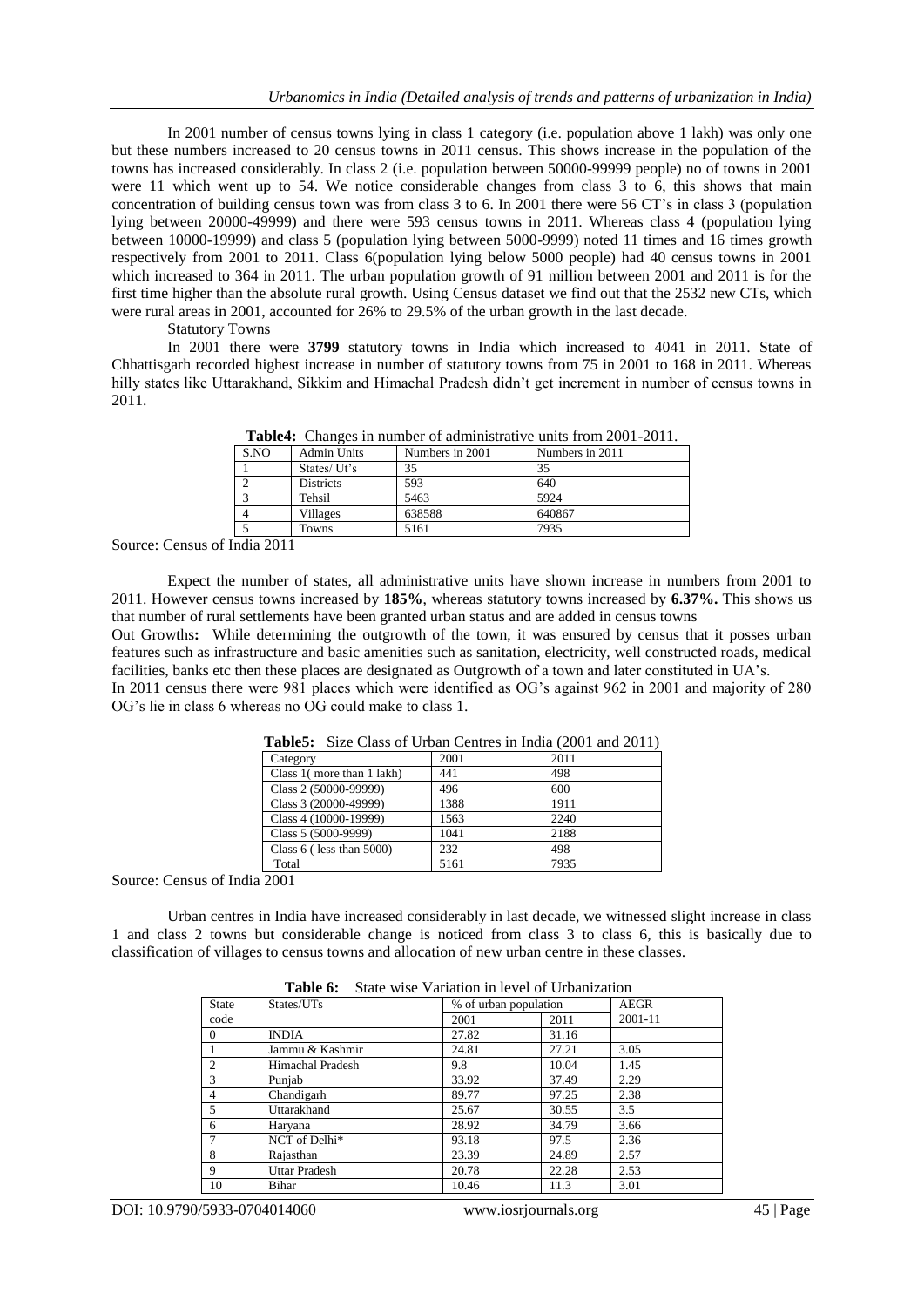In 2001 number of census towns lying in class 1 category (i.e. population above 1 lakh) was only one but these numbers increased to 20 census towns in 2011 census. This shows increase in the population of the towns has increased considerably. In class 2 (i.e. population between 50000-99999 people) no of towns in 2001 were 11 which went up to 54. We notice considerable changes from class 3 to 6, this shows that main concentration of building census town was from class 3 to 6. In 2001 there were 56 CT's in class 3 (population lying between 20000-49999) and there were 593 census towns in 2011. Whereas class 4 (population lying between 10000-19999) and class 5 (population lying between 5000-9999) noted 11 times and 16 times growth respectively from 2001 to 2011. Class 6(population lying below 5000 people) had 40 census towns in 2001 which increased to 364 in 2011. The urban population growth of 91 million between 2001 and 2011 is for the first time higher than the absolute rural growth. Using Census dataset we find out that the 2532 new CTs, which were rural areas in 2001, accounted for 26% to 29.5% of the urban growth in the last decade.

Statutory Towns

In 2001 there were **3799** statutory towns in India which increased to 4041 in 2011. State of Chhattisgarh recorded highest increase in number of statutory towns from 75 in 2001 to 168 in 2011. Whereas hilly states like Uttarakhand, Sikkim and Himachal Pradesh didn't get increment in number of census towns in 2011.

| S.NO | <b>Admin Units</b> | Numbers in 2001 | Numbers in 2011 |
|------|--------------------|-----------------|-----------------|
|      | States/Ut's        | 35              | 35              |
|      | <b>Districts</b>   | 593             | 640             |
|      | Tehsil             | 5463            | 5924            |
|      | Villages           | 638588          | 640867          |
|      | Towns              | 5161            | 7935            |

**Table4:** Changes in number of administrative units from 2001-2011.

Source: Census of India 2011

Expect the number of states, all administrative units have shown increase in numbers from 2001 to 2011. However census towns increased by **185%**, whereas statutory towns increased by **6.37%.** This shows us that number of rural settlements have been granted urban status and are added in census towns

Out Growths**:** While determining the outgrowth of the town, it was ensured by census that it posses urban features such as infrastructure and basic amenities such as sanitation, electricity, well constructed roads, medical facilities, banks etc then these places are designated as Outgrowth of a town and later constituted in UA's.

In 2011 census there were 981 places which were identified as OG's against 962 in 2001 and majority of 280 OG's lie in class 6 whereas no OG could make to class 1.

| <b>Tables.</b> Size Class of Croan Centres in India (2001 and 2011) |      |      |  |
|---------------------------------------------------------------------|------|------|--|
| Category                                                            | 2001 | 2011 |  |
| Class 1(more than 1 lakh)                                           | 441  | 498  |  |
| Class 2 (50000-99999)                                               | 496  | 600  |  |
| Class 3 (20000-49999)                                               | 1388 | 1911 |  |
| Class 4 (10000-19999)                                               | 1563 | 2240 |  |
| Class 5 (5000-9999)                                                 | 1041 | 2188 |  |
| Class $6$ (less than $5000$ )                                       | 232  | 498  |  |
| Total                                                               | 5161 | 7935 |  |
|                                                                     |      |      |  |

**Table5:** Size Class of Urban Centres in India (2001 and 2011)

Source: Census of India 2001

Urban centres in India have increased considerably in last decade, we witnessed slight increase in class 1 and class 2 towns but considerable change is noticed from class 3 to class 6, this is basically due to classification of villages to census towns and allocation of new urban centre in these classes.

|                | radie v.             | State wise variation in level of Urbanization |       |             |
|----------------|----------------------|-----------------------------------------------|-------|-------------|
| State          | States/UTs           | % of urban population                         |       | <b>AEGR</b> |
| code           |                      | 2001                                          | 2011  | 2001-11     |
| $\theta$       | <b>INDIA</b>         | 27.82                                         | 31.16 |             |
|                | Jammu & Kashmir      | 24.81                                         | 27.21 | 3.05        |
| $\overline{2}$ | Himachal Pradesh     | 9.8                                           | 10.04 | 1.45        |
| 3              | Punjab               | 33.92                                         | 37.49 | 2.29        |
| $\overline{4}$ | Chandigarh           | 89.77                                         | 97.25 | 2.38        |
| 5              | Uttarakhand          | 25.67                                         | 30.55 | 3.5         |
| 6              | Haryana              | 28.92                                         | 34.79 | 3.66        |
|                | NCT of Delhi*        | 93.18                                         | 97.5  | 2.36        |
| 8              | Rajasthan            | 23.39                                         | 24.89 | 2.57        |
| 9              | <b>Uttar Pradesh</b> | 20.78                                         | 22.28 | 2.53        |
| 10             | Bihar                | 10.46                                         | 11.3  | 3.01        |

**Table 6:** State wise Variation in level of Urbanization

DOI: 10.9790/5933-0704014060 www.iosrjournals.org 45 | Page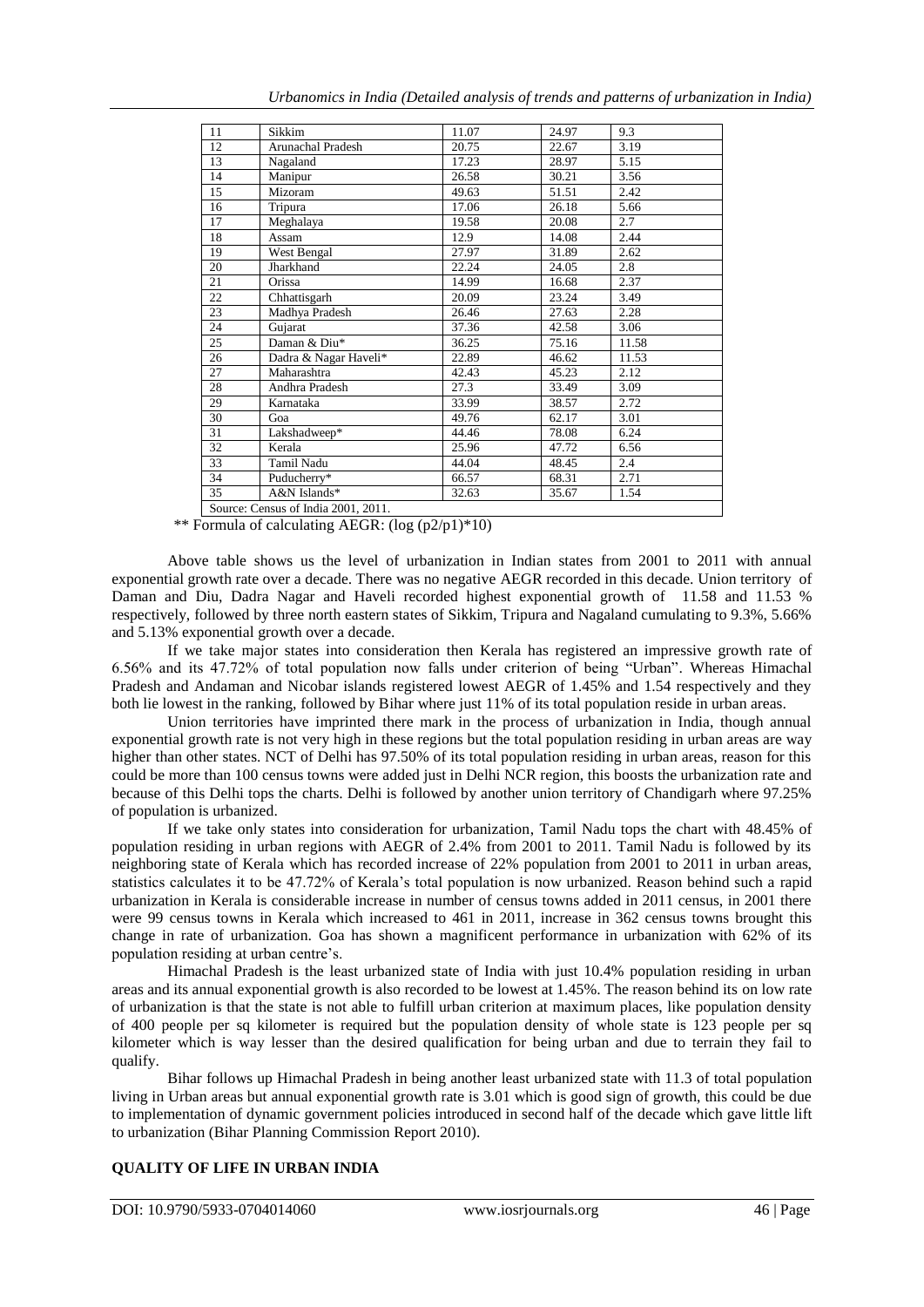| Urbanomics in India (Detailed analysis of trends and patterns of urbanization in India) |  |  |  |
|-----------------------------------------------------------------------------------------|--|--|--|
|                                                                                         |  |  |  |

| 11 | Sikkim                              | 11.07 | 24.97 | 9.3   |
|----|-------------------------------------|-------|-------|-------|
| 12 | Arunachal Pradesh                   | 20.75 | 22.67 | 3.19  |
| 13 | Nagaland                            | 17.23 | 28.97 | 5.15  |
| 14 | Manipur                             | 26.58 | 30.21 | 3.56  |
| 15 | Mizoram                             | 49.63 | 51.51 | 2.42  |
| 16 | Tripura                             | 17.06 | 26.18 | 5.66  |
| 17 | Meghalaya                           | 19.58 | 20.08 | 2.7   |
| 18 | Assam                               | 12.9  | 14.08 | 2.44  |
| 19 | West Bengal                         | 27.97 | 31.89 | 2.62  |
| 20 | Jharkhand                           | 22.24 | 24.05 | 2.8   |
| 21 | <b>Orissa</b>                       | 14.99 | 16.68 | 2.37  |
| 22 | Chhattisgarh                        | 20.09 | 23.24 | 3.49  |
| 23 | Madhya Pradesh                      | 26.46 | 27.63 | 2.28  |
| 24 | Gujarat                             | 37.36 | 42.58 | 3.06  |
| 25 | Daman & Diu*                        | 36.25 | 75.16 | 11.58 |
| 26 | Dadra & Nagar Haveli*               | 22.89 | 46.62 | 11.53 |
| 27 | Maharashtra                         | 42.43 | 45.23 | 2.12  |
| 28 | Andhra Pradesh                      | 27.3  | 33.49 | 3.09  |
| 29 | Karnataka                           | 33.99 | 38.57 | 2.72  |
| 30 | Goa                                 | 49.76 | 62.17 | 3.01  |
| 31 | Lakshadweep*                        | 44.46 | 78.08 | 6.24  |
| 32 | Kerala                              | 25.96 | 47.72 | 6.56  |
| 33 | Tamil Nadu                          | 44.04 | 48.45 | 2.4   |
| 34 | Puducherry*                         | 66.57 | 68.31 | 2.71  |
| 35 | A&N Islands*                        | 32.63 | 35.67 | 1.54  |
|    | Source: Census of India 2001, 2011. |       |       |       |

\*\* Formula of calculating AEGR: (log (p2/p1)\*10)

Above table shows us the level of urbanization in Indian states from 2001 to 2011 with annual exponential growth rate over a decade. There was no negative AEGR recorded in this decade. Union territory of Daman and Diu, Dadra Nagar and Haveli recorded highest exponential growth of 11.58 and 11.53 % respectively, followed by three north eastern states of Sikkim, Tripura and Nagaland cumulating to 9.3%, 5.66% and 5.13% exponential growth over a decade.

If we take major states into consideration then Kerala has registered an impressive growth rate of 6.56% and its 47.72% of total population now falls under criterion of being "Urban". Whereas Himachal Pradesh and Andaman and Nicobar islands registered lowest AEGR of 1.45% and 1.54 respectively and they both lie lowest in the ranking, followed by Bihar where just 11% of its total population reside in urban areas.

Union territories have imprinted there mark in the process of urbanization in India, though annual exponential growth rate is not very high in these regions but the total population residing in urban areas are way higher than other states. NCT of Delhi has 97.50% of its total population residing in urban areas, reason for this could be more than 100 census towns were added just in Delhi NCR region, this boosts the urbanization rate and because of this Delhi tops the charts. Delhi is followed by another union territory of Chandigarh where 97.25% of population is urbanized.

If we take only states into consideration for urbanization, Tamil Nadu tops the chart with 48.45% of population residing in urban regions with AEGR of 2.4% from 2001 to 2011. Tamil Nadu is followed by its neighboring state of Kerala which has recorded increase of 22% population from 2001 to 2011 in urban areas, statistics calculates it to be 47.72% of Kerala's total population is now urbanized. Reason behind such a rapid urbanization in Kerala is considerable increase in number of census towns added in 2011 census, in 2001 there were 99 census towns in Kerala which increased to 461 in 2011, increase in 362 census towns brought this change in rate of urbanization. Goa has shown a magnificent performance in urbanization with 62% of its population residing at urban centre's.

Himachal Pradesh is the least urbanized state of India with just 10.4% population residing in urban areas and its annual exponential growth is also recorded to be lowest at 1.45%. The reason behind its on low rate of urbanization is that the state is not able to fulfill urban criterion at maximum places, like population density of 400 people per sq kilometer is required but the population density of whole state is 123 people per sq kilometer which is way lesser than the desired qualification for being urban and due to terrain they fail to qualify.

Bihar follows up Himachal Pradesh in being another least urbanized state with 11.3 of total population living in Urban areas but annual exponential growth rate is 3.01 which is good sign of growth, this could be due to implementation of dynamic government policies introduced in second half of the decade which gave little lift to urbanization (Bihar Planning Commission Report 2010).

## **QUALITY OF LIFE IN URBAN INDIA**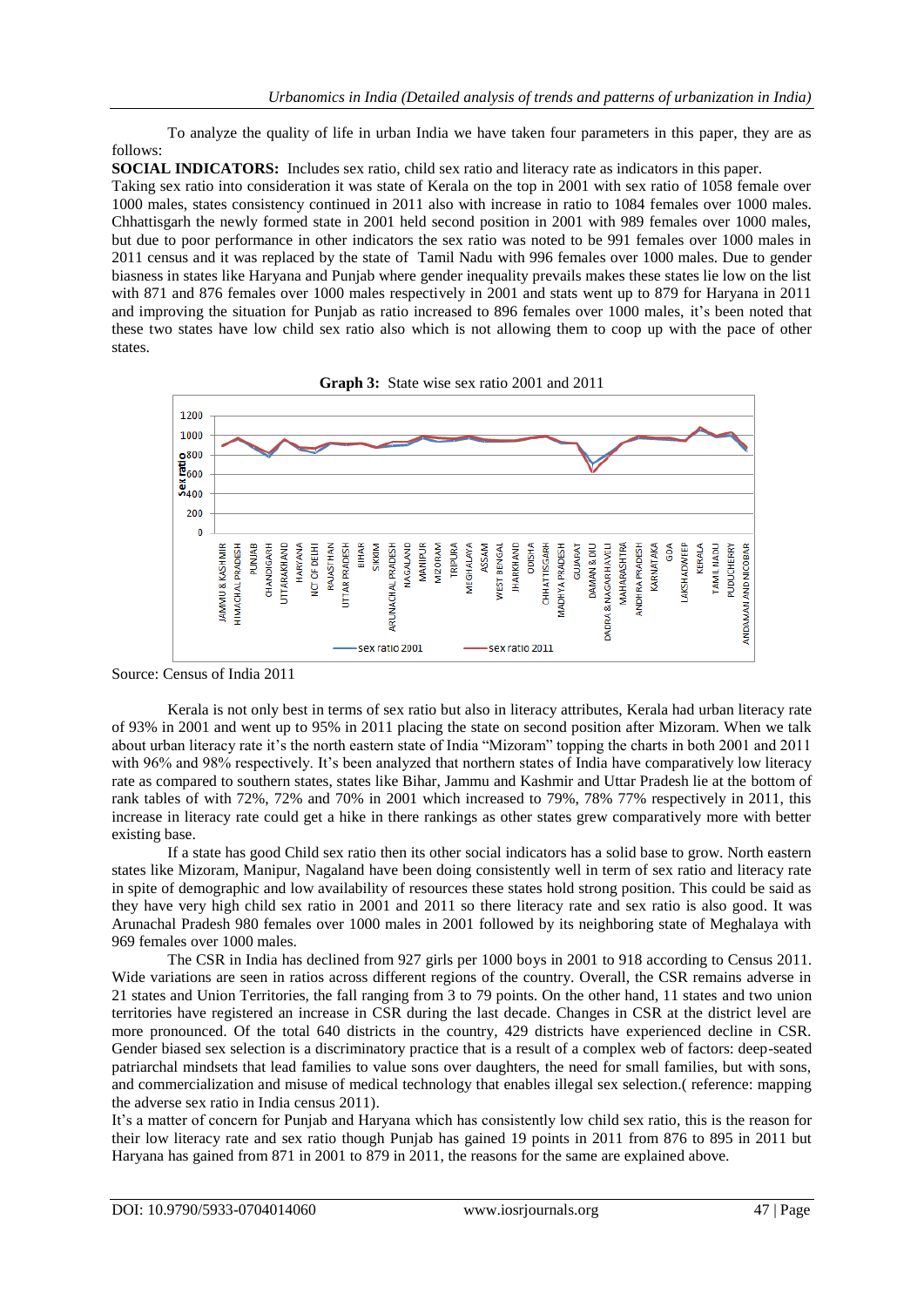To analyze the quality of life in urban India we have taken four parameters in this paper, they are as follows:

**SOCIAL INDICATORS:** Includes sex ratio, child sex ratio and literacy rate as indicators in this paper. Taking sex ratio into consideration it was state of Kerala on the top in 2001 with sex ratio of 1058 female over 1000 males, states consistency continued in 2011 also with increase in ratio to 1084 females over 1000 males. Chhattisgarh the newly formed state in 2001 held second position in 2001 with 989 females over 1000 males, but due to poor performance in other indicators the sex ratio was noted to be 991 females over 1000 males in 2011 census and it was replaced by the state of Tamil Nadu with 996 females over 1000 males. Due to gender biasness in states like Haryana and Punjab where gender inequality prevails makes these states lie low on the list with 871 and 876 females over 1000 males respectively in 2001 and stats went up to 879 for Haryana in 2011 and improving the situation for Punjab as ratio increased to 896 females over 1000 males, it's been noted that these two states have low child sex ratio also which is not allowing them to coop up with the pace of other states.



Source: Census of India 2011

Kerala is not only best in terms of sex ratio but also in literacy attributes, Kerala had urban literacy rate of 93% in 2001 and went up to 95% in 2011 placing the state on second position after Mizoram. When we talk about urban literacy rate it's the north eastern state of India "Mizoram" topping the charts in both 2001 and 2011 with 96% and 98% respectively. It's been analyzed that northern states of India have comparatively low literacy rate as compared to southern states, states like Bihar, Jammu and Kashmir and Uttar Pradesh lie at the bottom of rank tables of with 72%, 72% and 70% in 2001 which increased to 79%, 78% 77% respectively in 2011, this increase in literacy rate could get a hike in there rankings as other states grew comparatively more with better existing base.

If a state has good Child sex ratio then its other social indicators has a solid base to grow. North eastern states like Mizoram, Manipur, Nagaland have been doing consistently well in term of sex ratio and literacy rate in spite of demographic and low availability of resources these states hold strong position. This could be said as they have very high child sex ratio in 2001 and 2011 so there literacy rate and sex ratio is also good. It was Arunachal Pradesh 980 females over 1000 males in 2001 followed by its neighboring state of Meghalaya with 969 females over 1000 males.

The CSR in India has declined from 927 girls per 1000 boys in 2001 to 918 according to Census 2011. Wide variations are seen in ratios across different regions of the country. Overall, the CSR remains adverse in 21 states and Union Territories, the fall ranging from 3 to 79 points. On the other hand, 11 states and two union territories have registered an increase in CSR during the last decade. Changes in CSR at the district level are more pronounced. Of the total 640 districts in the country, 429 districts have experienced decline in CSR. Gender biased sex selection is a discriminatory practice that is a result of a complex web of factors: deep-seated patriarchal mindsets that lead families to value sons over daughters, the need for small families, but with sons, and commercialization and misuse of medical technology that enables illegal sex selection.( reference: mapping the adverse sex ratio in India census 2011).

It's a matter of concern for Punjab and Haryana which has consistently low child sex ratio, this is the reason for their low literacy rate and sex ratio though Punjab has gained 19 points in 2011 from 876 to 895 in 2011 but Haryana has gained from 871 in 2001 to 879 in 2011, the reasons for the same are explained above.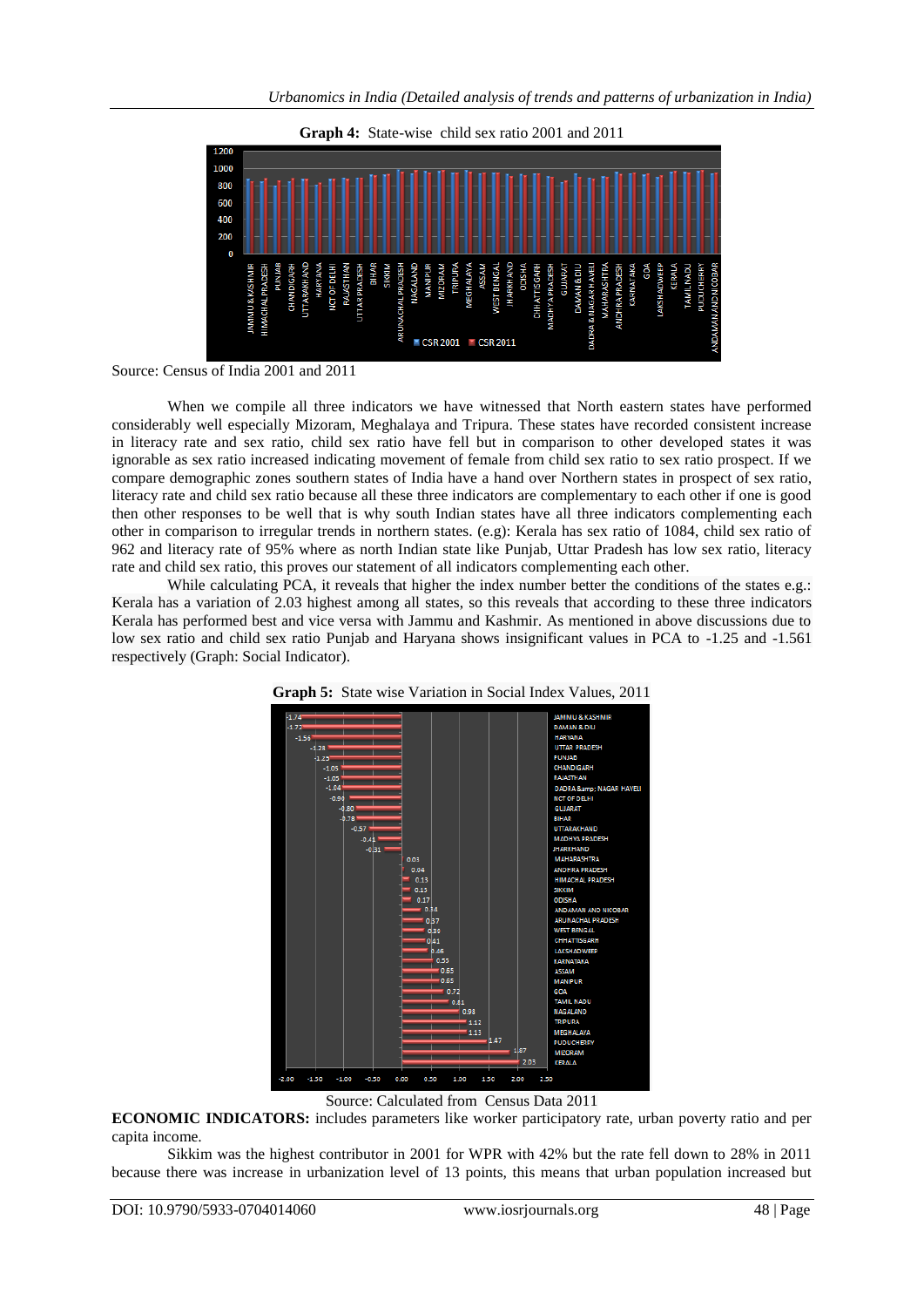

**Graph 4:** State-wise child sex ratio 2001 and 2011

When we compile all three indicators we have witnessed that North eastern states have performed considerably well especially Mizoram, Meghalaya and Tripura. These states have recorded consistent increase in literacy rate and sex ratio, child sex ratio have fell but in comparison to other developed states it was ignorable as sex ratio increased indicating movement of female from child sex ratio to sex ratio prospect. If we compare demographic zones southern states of India have a hand over Northern states in prospect of sex ratio, literacy rate and child sex ratio because all these three indicators are complementary to each other if one is good then other responses to be well that is why south Indian states have all three indicators complementing each other in comparison to irregular trends in northern states. (e.g): Kerala has sex ratio of 1084, child sex ratio of 962 and literacy rate of 95% where as north Indian state like Punjab, Uttar Pradesh has low sex ratio, literacy rate and child sex ratio, this proves our statement of all indicators complementing each other.

While calculating PCA, it reveals that higher the index number better the conditions of the states e.g.: Kerala has a variation of 2.03 highest among all states, so this reveals that according to these three indicators Kerala has performed best and vice versa with Jammu and Kashmir. As mentioned in above discussions due to low sex ratio and child sex ratio Punjab and Haryana shows insignificant values in PCA to -1.25 and -1.561 respectively (Graph: Social Indicator).





Source: Calculated from Census Data 2011

**ECONOMIC INDICATORS:** includes parameters like worker participatory rate, urban poverty ratio and per capita income.

Sikkim was the highest contributor in 2001 for WPR with 42% but the rate fell down to 28% in 2011 because there was increase in urbanization level of 13 points, this means that urban population increased but

Source: Census of India 2001 and 2011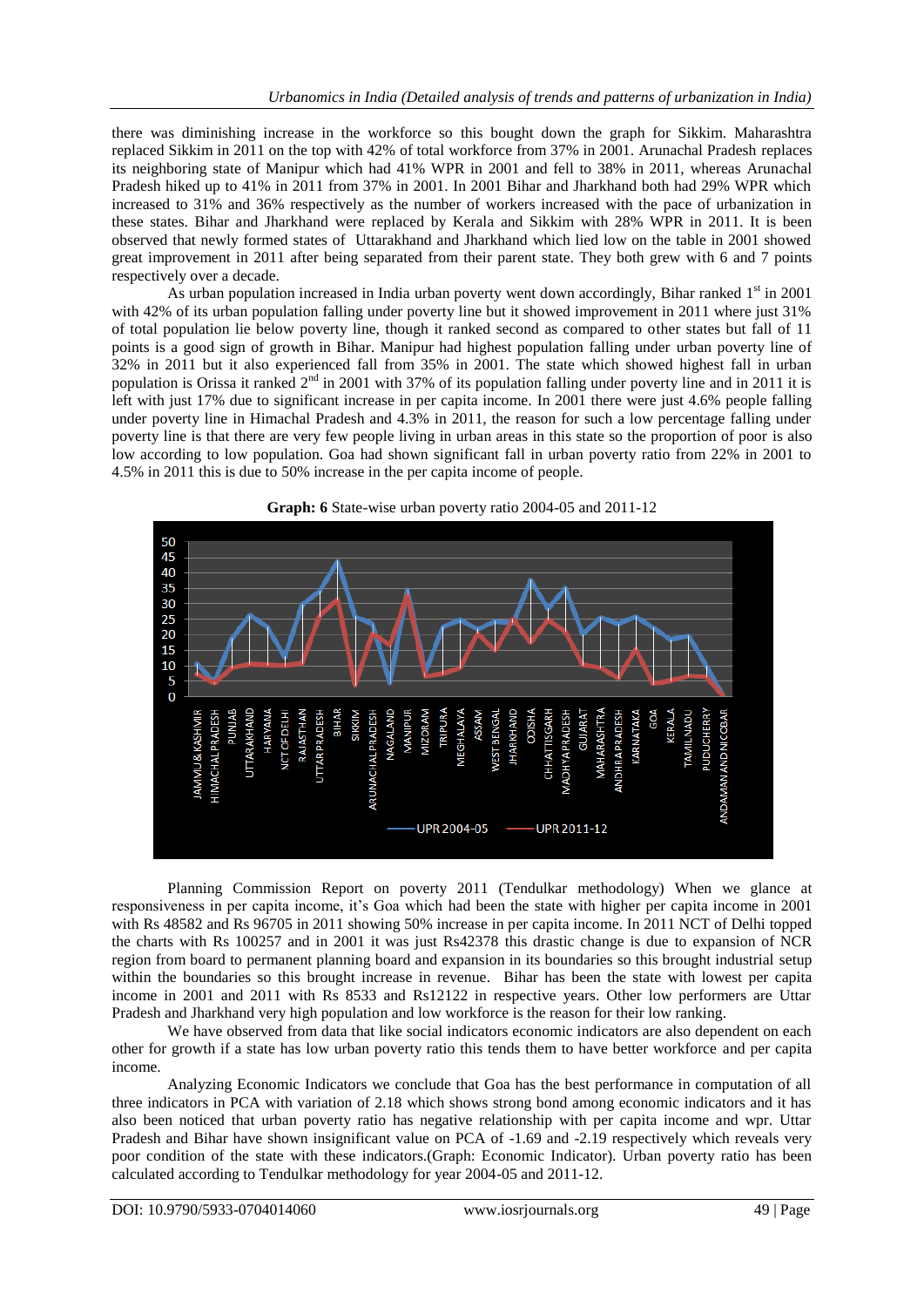there was diminishing increase in the workforce so this bought down the graph for Sikkim. Maharashtra replaced Sikkim in 2011 on the top with 42% of total workforce from 37% in 2001. Arunachal Pradesh replaces its neighboring state of Manipur which had 41% WPR in 2001 and fell to 38% in 2011, whereas Arunachal Pradesh hiked up to 41% in 2011 from 37% in 2001. In 2001 Bihar and Jharkhand both had 29% WPR which increased to 31% and 36% respectively as the number of workers increased with the pace of urbanization in these states. Bihar and Jharkhand were replaced by Kerala and Sikkim with 28% WPR in 2011. It is been observed that newly formed states of Uttarakhand and Jharkhand which lied low on the table in 2001 showed great improvement in 2011 after being separated from their parent state. They both grew with 6 and 7 points respectively over a decade.

As urban population increased in India urban poverty went down accordingly, Bihar ranked 1<sup>st</sup> in 2001 with 42% of its urban population falling under poverty line but it showed improvement in 2011 where just 31% of total population lie below poverty line, though it ranked second as compared to other states but fall of 11 points is a good sign of growth in Bihar. Manipur had highest population falling under urban poverty line of 32% in 2011 but it also experienced fall from 35% in 2001. The state which showed highest fall in urban population is Orissa it ranked  $2<sup>nd</sup>$  in 2001 with 37% of its population falling under poverty line and in 2011 it is left with just 17% due to significant increase in per capita income. In 2001 there were just 4.6% people falling under poverty line in Himachal Pradesh and 4.3% in 2011, the reason for such a low percentage falling under poverty line is that there are very few people living in urban areas in this state so the proportion of poor is also low according to low population. Goa had shown significant fall in urban poverty ratio from 22% in 2001 to 4.5% in 2011 this is due to 50% increase in the per capita income of people.



**Graph: 6** State-wise urban poverty ratio 2004-05 and 2011-12

Planning Commission Report on poverty 2011 (Tendulkar methodology) When we glance at responsiveness in per capita income, it's Goa which had been the state with higher per capita income in 2001 with Rs 48582 and Rs 96705 in 2011 showing 50% increase in per capita income. In 2011 NCT of Delhi topped the charts with Rs 100257 and in 2001 it was just Rs42378 this drastic change is due to expansion of NCR region from board to permanent planning board and expansion in its boundaries so this brought industrial setup within the boundaries so this brought increase in revenue. Bihar has been the state with lowest per capita income in 2001 and 2011 with Rs 8533 and Rs12122 in respective years. Other low performers are Uttar Pradesh and Jharkhand very high population and low workforce is the reason for their low ranking.

We have observed from data that like social indicators economic indicators are also dependent on each other for growth if a state has low urban poverty ratio this tends them to have better workforce and per capita income.

Analyzing Economic Indicators we conclude that Goa has the best performance in computation of all three indicators in PCA with variation of 2.18 which shows strong bond among economic indicators and it has also been noticed that urban poverty ratio has negative relationship with per capita income and wpr. Uttar Pradesh and Bihar have shown insignificant value on PCA of -1.69 and -2.19 respectively which reveals very poor condition of the state with these indicators.(Graph: Economic Indicator). Urban poverty ratio has been calculated according to Tendulkar methodology for year 2004-05 and 2011-12.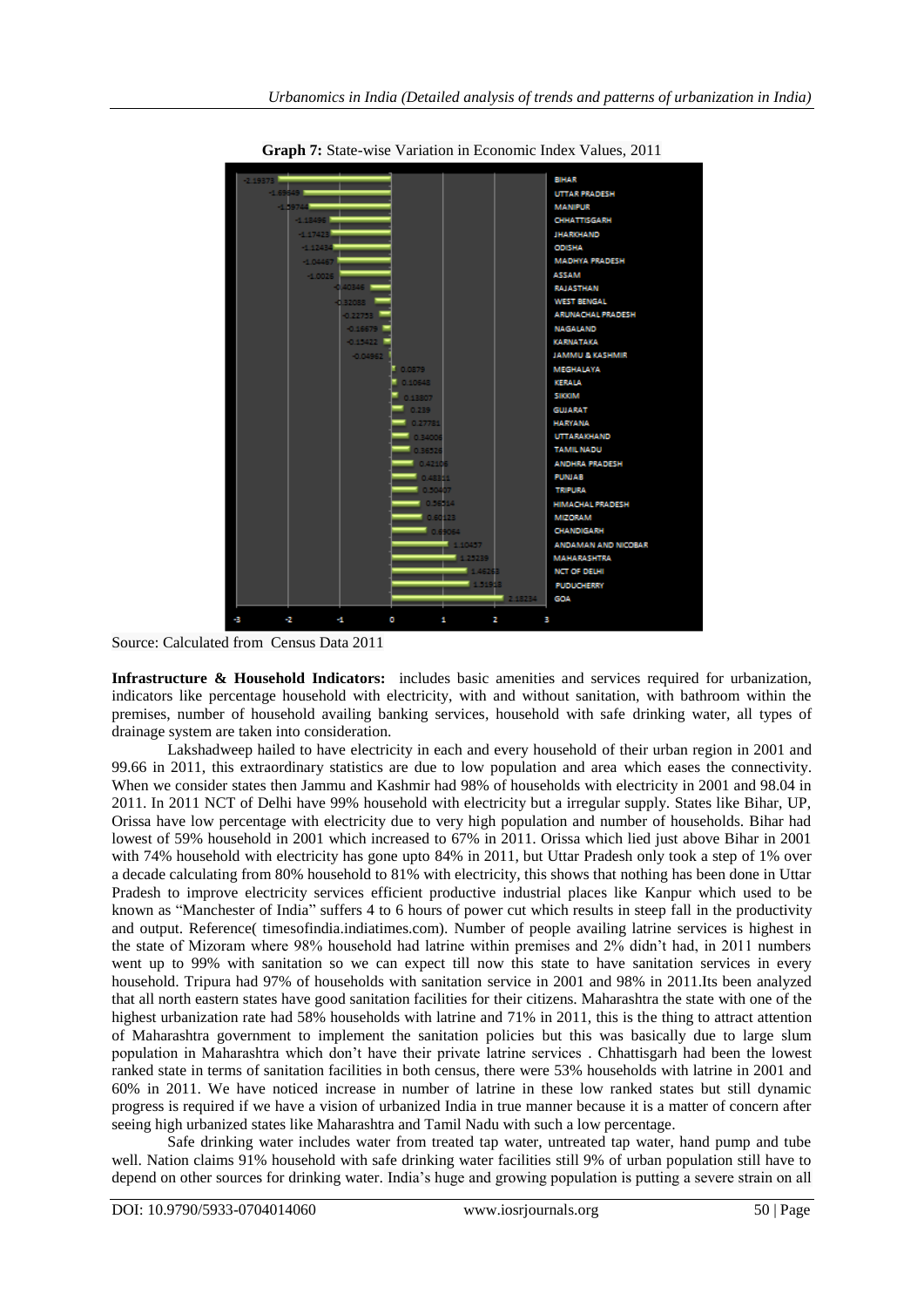

**Graph 7:** State-wise Variation in Economic Index Values, 2011

Source: Calculated from Census Data 2011

**Infrastructure & Household Indicators:** includes basic amenities and services required for urbanization, indicators like percentage household with electricity, with and without sanitation, with bathroom within the premises, number of household availing banking services, household with safe drinking water, all types of drainage system are taken into consideration.

Lakshadweep hailed to have electricity in each and every household of their urban region in 2001 and 99.66 in 2011, this extraordinary statistics are due to low population and area which eases the connectivity. When we consider states then Jammu and Kashmir had 98% of households with electricity in 2001 and 98.04 in 2011. In 2011 NCT of Delhi have 99% household with electricity but a irregular supply. States like Bihar, UP, Orissa have low percentage with electricity due to very high population and number of households. Bihar had lowest of 59% household in 2001 which increased to 67% in 2011. Orissa which lied just above Bihar in 2001 with 74% household with electricity has gone upto 84% in 2011, but Uttar Pradesh only took a step of 1% over a decade calculating from 80% household to 81% with electricity, this shows that nothing has been done in Uttar Pradesh to improve electricity services efficient productive industrial places like Kanpur which used to be known as "Manchester of India" suffers 4 to 6 hours of power cut which results in steep fall in the productivity and output. Reference( timesofindia.indiatimes.com). Number of people availing latrine services is highest in the state of Mizoram where 98% household had latrine within premises and 2% didn't had, in 2011 numbers went up to 99% with sanitation so we can expect till now this state to have sanitation services in every household. Tripura had 97% of households with sanitation service in 2001 and 98% in 2011.Its been analyzed that all north eastern states have good sanitation facilities for their citizens. Maharashtra the state with one of the highest urbanization rate had 58% households with latrine and 71% in 2011, this is the thing to attract attention of Maharashtra government to implement the sanitation policies but this was basically due to large slum population in Maharashtra which don't have their private latrine services . Chhattisgarh had been the lowest ranked state in terms of sanitation facilities in both census, there were 53% households with latrine in 2001 and 60% in 2011. We have noticed increase in number of latrine in these low ranked states but still dynamic progress is required if we have a vision of urbanized India in true manner because it is a matter of concern after seeing high urbanized states like Maharashtra and Tamil Nadu with such a low percentage.

Safe drinking water includes water from treated tap water, untreated tap water, hand pump and tube well. Nation claims 91% household with safe drinking water facilities still 9% of urban population still have to depend on other sources for drinking water. India's huge and growing population is putting a severe strain on all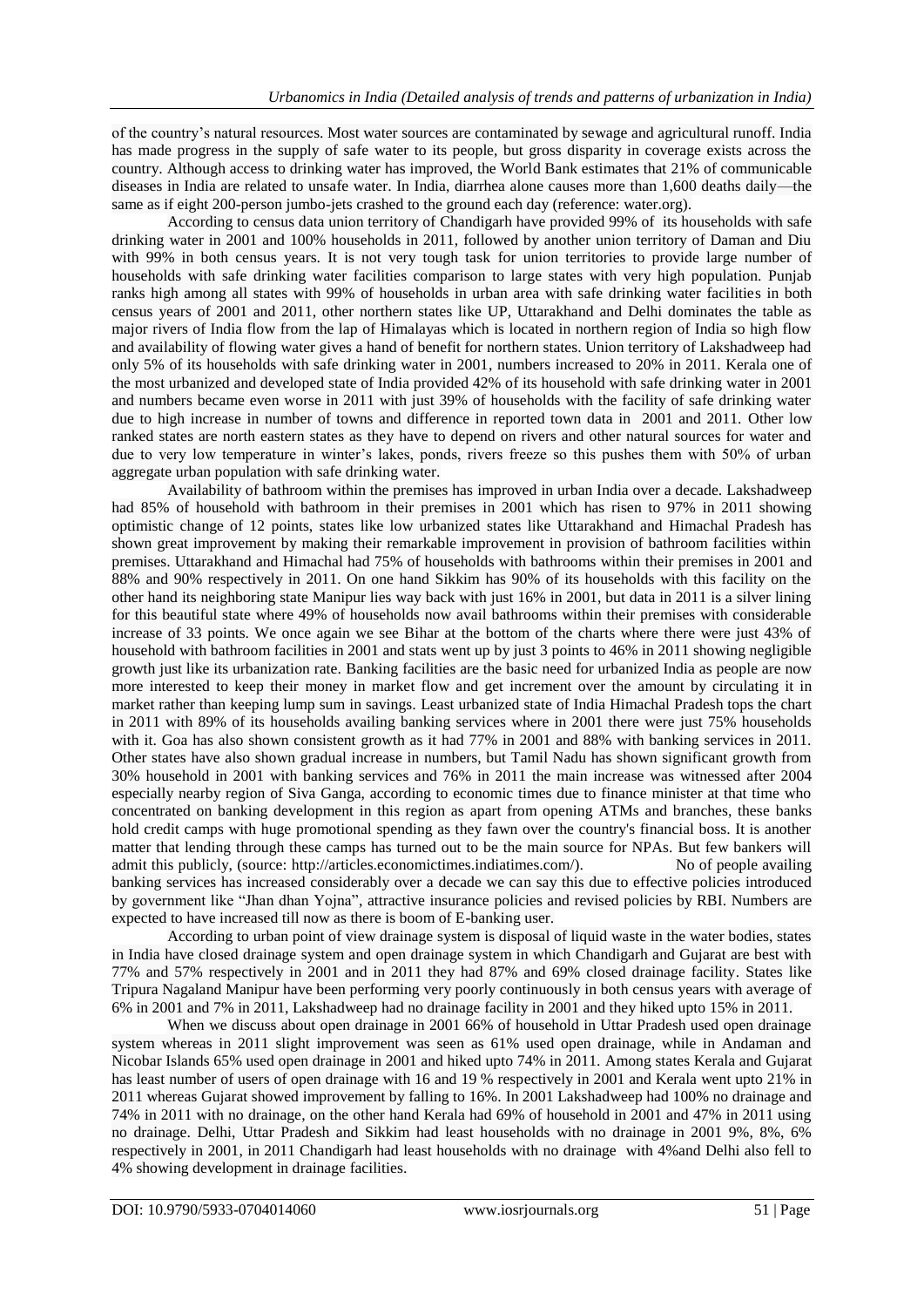of the country's natural resources. Most water sources are contaminated by sewage and agricultural runoff. India has made progress in the supply of safe water to its people, but gross disparity in coverage exists across the country. Although access to drinking water has improved, the World Bank estimates that 21% of communicable diseases in India are related to unsafe water. In India, diarrhea alone causes more than 1,600 deaths daily—the same as if eight 200-person jumbo-jets crashed to the ground each day (reference: water.org).

According to census data union territory of Chandigarh have provided 99% of its households with safe drinking water in 2001 and 100% households in 2011, followed by another union territory of Daman and Diu with 99% in both census years. It is not very tough task for union territories to provide large number of households with safe drinking water facilities comparison to large states with very high population. Punjab ranks high among all states with 99% of households in urban area with safe drinking water facilities in both census years of 2001 and 2011, other northern states like UP, Uttarakhand and Delhi dominates the table as major rivers of India flow from the lap of Himalayas which is located in northern region of India so high flow and availability of flowing water gives a hand of benefit for northern states. Union territory of Lakshadweep had only 5% of its households with safe drinking water in 2001, numbers increased to 20% in 2011. Kerala one of the most urbanized and developed state of India provided 42% of its household with safe drinking water in 2001 and numbers became even worse in 2011 with just 39% of households with the facility of safe drinking water due to high increase in number of towns and difference in reported town data in 2001 and 2011. Other low ranked states are north eastern states as they have to depend on rivers and other natural sources for water and due to very low temperature in winter's lakes, ponds, rivers freeze so this pushes them with 50% of urban aggregate urban population with safe drinking water.

Availability of bathroom within the premises has improved in urban India over a decade. Lakshadweep had 85% of household with bathroom in their premises in 2001 which has risen to 97% in 2011 showing optimistic change of 12 points, states like low urbanized states like Uttarakhand and Himachal Pradesh has shown great improvement by making their remarkable improvement in provision of bathroom facilities within premises. Uttarakhand and Himachal had 75% of households with bathrooms within their premises in 2001 and 88% and 90% respectively in 2011. On one hand Sikkim has 90% of its households with this facility on the other hand its neighboring state Manipur lies way back with just 16% in 2001, but data in 2011 is a silver lining for this beautiful state where 49% of households now avail bathrooms within their premises with considerable increase of 33 points. We once again we see Bihar at the bottom of the charts where there were just 43% of household with bathroom facilities in 2001 and stats went up by just 3 points to 46% in 2011 showing negligible growth just like its urbanization rate. Banking facilities are the basic need for urbanized India as people are now more interested to keep their money in market flow and get increment over the amount by circulating it in market rather than keeping lump sum in savings. Least urbanized state of India Himachal Pradesh tops the chart in 2011 with 89% of its households availing banking services where in 2001 there were just 75% households with it. Goa has also shown consistent growth as it had 77% in 2001 and 88% with banking services in 2011. Other states have also shown gradual increase in numbers, but Tamil Nadu has shown significant growth from 30% household in 2001 with banking services and 76% in 2011 the main increase was witnessed after 2004 especially nearby region of Siva Ganga, according to economic times due to finance minister at that time who concentrated on banking development in this region as apart from opening ATMs and branches, these banks hold credit camps with huge promotional spending as they fawn over the country's financial boss. It is another matter that lending through these camps has turned out to be the main source for NPAs. But few bankers will admit this publicly, (source: http://articles.economictimes.indiatimes.com/). No of people availing banking services has increased considerably over a decade we can say this due to effective policies introduced by government like "Jhan dhan Yojna", attractive insurance policies and revised policies by RBI. Numbers are expected to have increased till now as there is boom of E-banking user.

According to urban point of view drainage system is disposal of liquid waste in the water bodies, states in India have closed drainage system and open drainage system in which Chandigarh and Gujarat are best with 77% and 57% respectively in 2001 and in 2011 they had 87% and 69% closed drainage facility. States like Tripura Nagaland Manipur have been performing very poorly continuously in both census years with average of 6% in 2001 and 7% in 2011, Lakshadweep had no drainage facility in 2001 and they hiked upto 15% in 2011.

When we discuss about open drainage in 2001 66% of household in Uttar Pradesh used open drainage system whereas in 2011 slight improvement was seen as 61% used open drainage, while in Andaman and Nicobar Islands 65% used open drainage in 2001 and hiked upto 74% in 2011. Among states Kerala and Gujarat has least number of users of open drainage with 16 and 19 % respectively in 2001 and Kerala went upto 21% in 2011 whereas Gujarat showed improvement by falling to 16%. In 2001 Lakshadweep had 100% no drainage and 74% in 2011 with no drainage, on the other hand Kerala had 69% of household in 2001 and 47% in 2011 using no drainage. Delhi, Uttar Pradesh and Sikkim had least households with no drainage in 2001 9%, 8%, 6% respectively in 2001, in 2011 Chandigarh had least households with no drainage with 4%and Delhi also fell to 4% showing development in drainage facilities.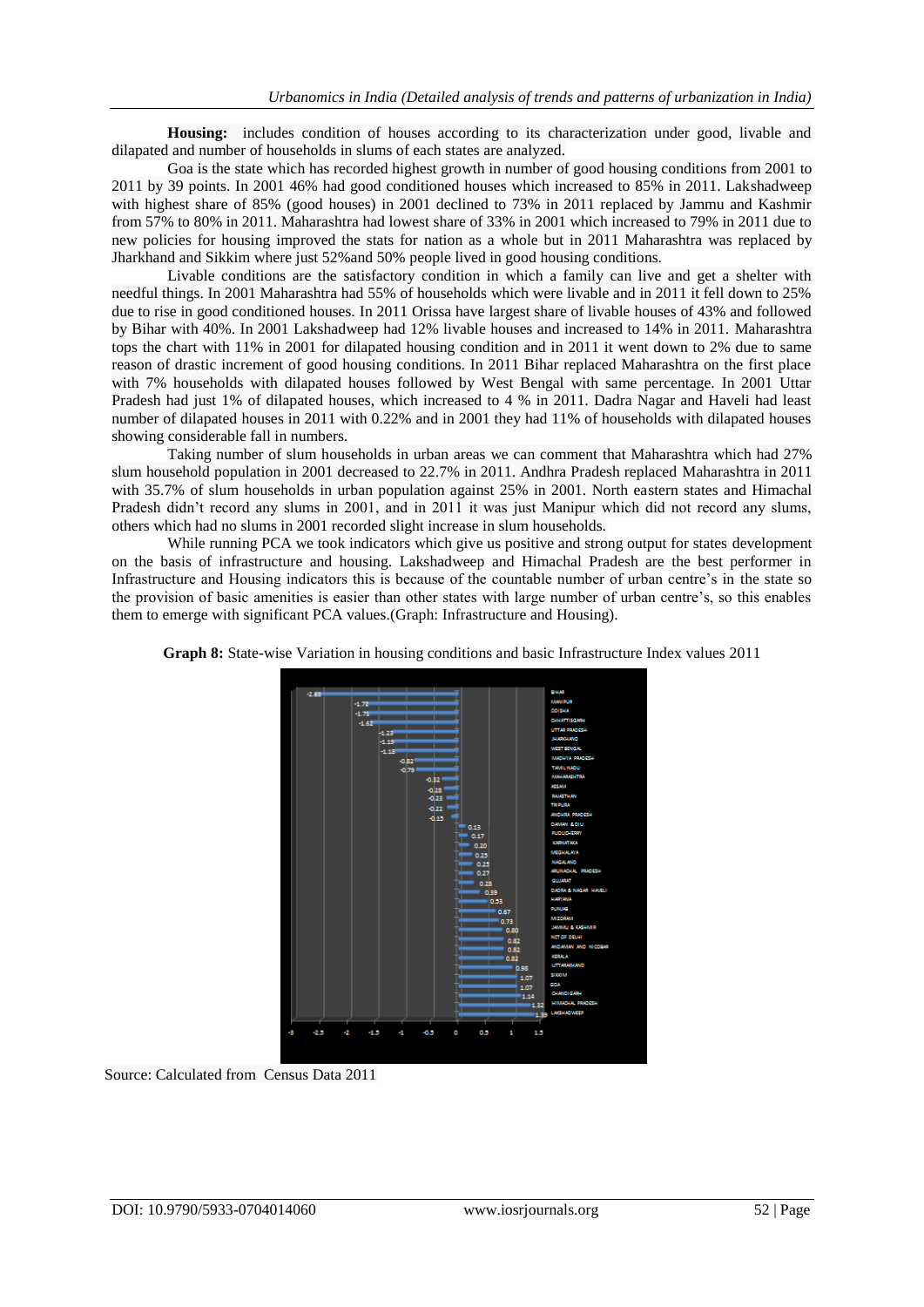**Housing:** includes condition of houses according to its characterization under good, livable and dilapated and number of households in slums of each states are analyzed.

Goa is the state which has recorded highest growth in number of good housing conditions from 2001 to 2011 by 39 points. In 2001 46% had good conditioned houses which increased to 85% in 2011. Lakshadweep with highest share of 85% (good houses) in 2001 declined to 73% in 2011 replaced by Jammu and Kashmir from 57% to 80% in 2011. Maharashtra had lowest share of 33% in 2001 which increased to 79% in 2011 due to new policies for housing improved the stats for nation as a whole but in 2011 Maharashtra was replaced by Jharkhand and Sikkim where just 52%and 50% people lived in good housing conditions.

Livable conditions are the satisfactory condition in which a family can live and get a shelter with needful things. In 2001 Maharashtra had 55% of households which were livable and in 2011 it fell down to 25% due to rise in good conditioned houses. In 2011 Orissa have largest share of livable houses of 43% and followed by Bihar with 40%. In 2001 Lakshadweep had 12% livable houses and increased to 14% in 2011. Maharashtra tops the chart with 11% in 2001 for dilapated housing condition and in 2011 it went down to 2% due to same reason of drastic increment of good housing conditions. In 2011 Bihar replaced Maharashtra on the first place with 7% households with dilapated houses followed by West Bengal with same percentage. In 2001 Uttar Pradesh had just 1% of dilapated houses, which increased to 4 % in 2011. Dadra Nagar and Haveli had least number of dilapated houses in 2011 with 0.22% and in 2001 they had 11% of households with dilapated houses showing considerable fall in numbers.

Taking number of slum households in urban areas we can comment that Maharashtra which had 27% slum household population in 2001 decreased to 22.7% in 2011. Andhra Pradesh replaced Maharashtra in 2011 with 35.7% of slum households in urban population against 25% in 2001. North eastern states and Himachal Pradesh didn't record any slums in 2001, and in 2011 it was just Manipur which did not record any slums, others which had no slums in 2001 recorded slight increase in slum households.

While running PCA we took indicators which give us positive and strong output for states development on the basis of infrastructure and housing. Lakshadweep and Himachal Pradesh are the best performer in Infrastructure and Housing indicators this is because of the countable number of urban centre's in the state so the provision of basic amenities is easier than other states with large number of urban centre's, so this enables them to emerge with significant PCA values.(Graph: Infrastructure and Housing).



**Graph 8:** State-wise Variation in housing conditions and basic Infrastructure Index values 2011

Source: Calculated from Census Data 2011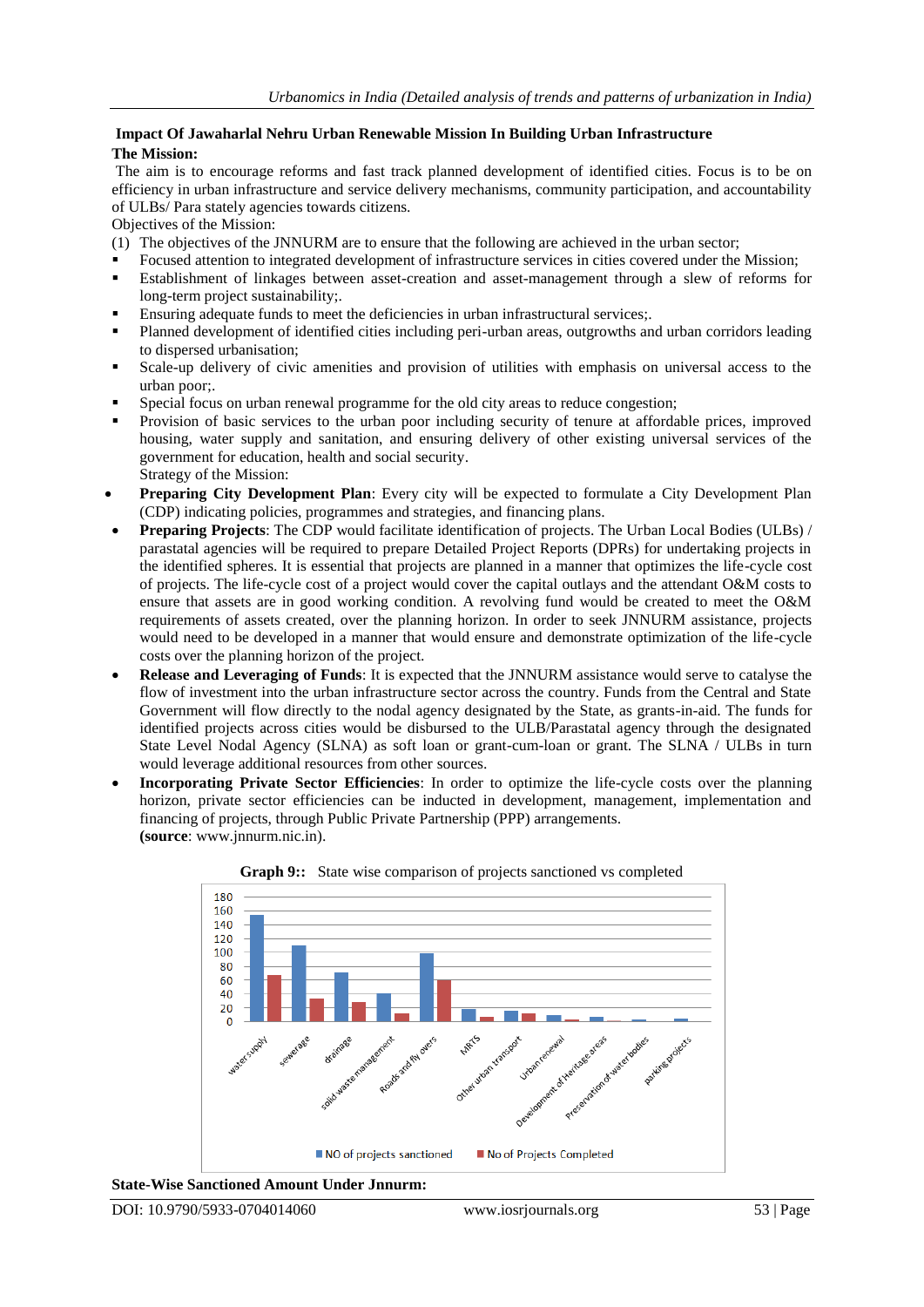### **Impact Of Jawaharlal Nehru Urban Renewable Mission In Building Urban Infrastructure The Mission:**

The aim is to encourage reforms and fast track planned development of identified cities. Focus is to be on efficiency in urban infrastructure and service delivery mechanisms, community participation, and accountability of ULBs/ Para stately agencies towards citizens.

Objectives of the Mission:

- (1) The objectives of the JNNURM are to ensure that the following are achieved in the urban sector;
- Focused attention to integrated development of infrastructure services in cities covered under the Mission;
- Establishment of linkages between asset-creation and asset-management through a slew of reforms for long-term project sustainability;.
- Ensuring adequate funds to meet the deficiencies in urban infrastructural services;.
- Planned development of identified cities including peri-urban areas, outgrowths and urban corridors leading to dispersed urbanisation;
- Scale-up delivery of civic amenities and provision of utilities with emphasis on universal access to the urban poor;.
- Special focus on urban renewal programme for the old city areas to reduce congestion;
- Provision of basic services to the urban poor including security of tenure at affordable prices, improved housing, water supply and sanitation, and ensuring delivery of other existing universal services of the government for education, health and social security. Strategy of the Mission:
- **Preparing City Development Plan**: Every city will be expected to formulate a City Development Plan (CDP) indicating policies, programmes and strategies, and financing plans.
- **Preparing Projects**: The CDP would facilitate identification of projects. The Urban Local Bodies (ULBs) / parastatal agencies will be required to prepare Detailed Project Reports (DPRs) for undertaking projects in the identified spheres. It is essential that projects are planned in a manner that optimizes the life-cycle cost of projects. The life-cycle cost of a project would cover the capital outlays and the attendant O&M costs to ensure that assets are in good working condition. A revolving fund would be created to meet the O&M requirements of assets created, over the planning horizon. In order to seek JNNURM assistance, projects would need to be developed in a manner that would ensure and demonstrate optimization of the life-cycle costs over the planning horizon of the project.
- **Release and Leveraging of Funds**: It is expected that the JNNURM assistance would serve to catalyse the flow of investment into the urban infrastructure sector across the country. Funds from the Central and State Government will flow directly to the nodal agency designated by the State, as grants-in-aid. The funds for identified projects across cities would be disbursed to the ULB/Parastatal agency through the designated State Level Nodal Agency (SLNA) as soft loan or grant-cum-loan or grant. The SLNA / ULBs in turn would leverage additional resources from other sources.
- **Incorporating Private Sector Efficiencies**: In order to optimize the life-cycle costs over the planning horizon, private sector efficiencies can be inducted in development, management, implementation and financing of projects, through Public Private Partnership (PPP) arrangements. **(source**: www.jnnurm.nic.in).





**State-Wise Sanctioned Amount Under Jnnurm:**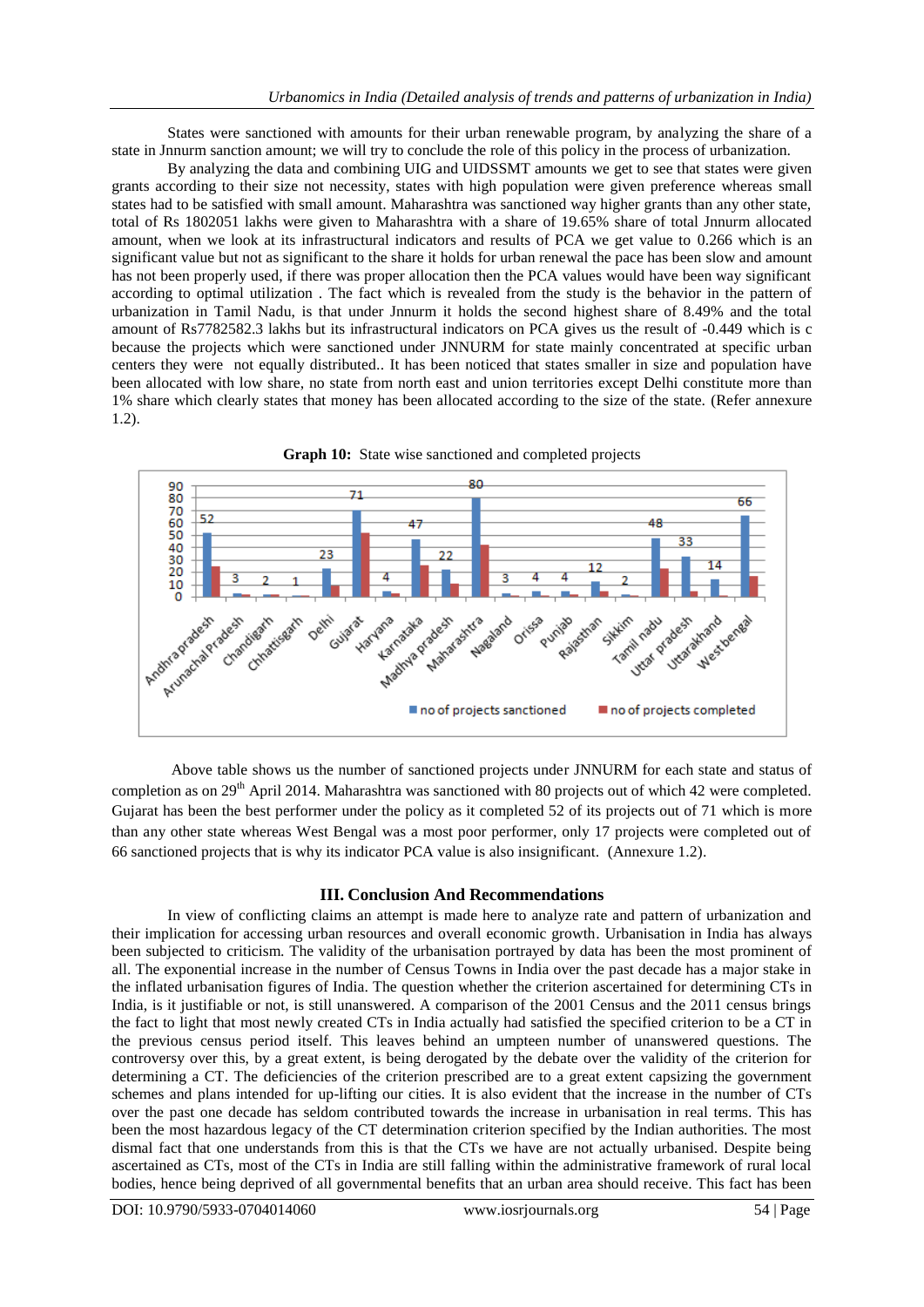States were sanctioned with amounts for their urban renewable program, by analyzing the share of a state in Jnnurm sanction amount; we will try to conclude the role of this policy in the process of urbanization.

By analyzing the data and combining UIG and UIDSSMT amounts we get to see that states were given grants according to their size not necessity, states with high population were given preference whereas small states had to be satisfied with small amount. Maharashtra was sanctioned way higher grants than any other state, total of Rs 1802051 lakhs were given to Maharashtra with a share of 19.65% share of total Jnnurm allocated amount, when we look at its infrastructural indicators and results of PCA we get value to 0.266 which is an significant value but not as significant to the share it holds for urban renewal the pace has been slow and amount has not been properly used, if there was proper allocation then the PCA values would have been way significant according to optimal utilization . The fact which is revealed from the study is the behavior in the pattern of urbanization in Tamil Nadu, is that under Jnnurm it holds the second highest share of 8.49% and the total amount of Rs7782582.3 lakhs but its infrastructural indicators on PCA gives us the result of -0.449 which is c because the projects which were sanctioned under JNNURM for state mainly concentrated at specific urban centers they were not equally distributed.. It has been noticed that states smaller in size and population have been allocated with low share, no state from north east and union territories except Delhi constitute more than 1% share which clearly states that money has been allocated according to the size of the state. (Refer annexure 1.2).



Above table shows us the number of sanctioned projects under JNNURM for each state and status of completion as on 29<sup>th</sup> April 2014. Maharashtra was sanctioned with 80 projects out of which 42 were completed. Gujarat has been the best performer under the policy as it completed 52 of its projects out of 71 which is more than any other state whereas West Bengal was a most poor performer, only 17 projects were completed out of 66 sanctioned projects that is why its indicator PCA value is also insignificant. (Annexure 1.2).

### **III. Conclusion And Recommendations**

In view of conflicting claims an attempt is made here to analyze rate and pattern of urbanization and their implication for accessing urban resources and overall economic growth. Urbanisation in India has always been subjected to criticism. The validity of the urbanisation portrayed by data has been the most prominent of all. The exponential increase in the number of Census Towns in India over the past decade has a major stake in the inflated urbanisation figures of India. The question whether the criterion ascertained for determining CTs in India, is it justifiable or not, is still unanswered. A comparison of the 2001 Census and the 2011 census brings the fact to light that most newly created CTs in India actually had satisfied the specified criterion to be a CT in the previous census period itself. This leaves behind an umpteen number of unanswered questions. The controversy over this, by a great extent, is being derogated by the debate over the validity of the criterion for determining a CT. The deficiencies of the criterion prescribed are to a great extent capsizing the government schemes and plans intended for up-lifting our cities. It is also evident that the increase in the number of CTs over the past one decade has seldom contributed towards the increase in urbanisation in real terms. This has been the most hazardous legacy of the CT determination criterion specified by the Indian authorities. The most dismal fact that one understands from this is that the CTs we have are not actually urbanised. Despite being ascertained as CTs, most of the CTs in India are still falling within the administrative framework of rural local bodies, hence being deprived of all governmental benefits that an urban area should receive. This fact has been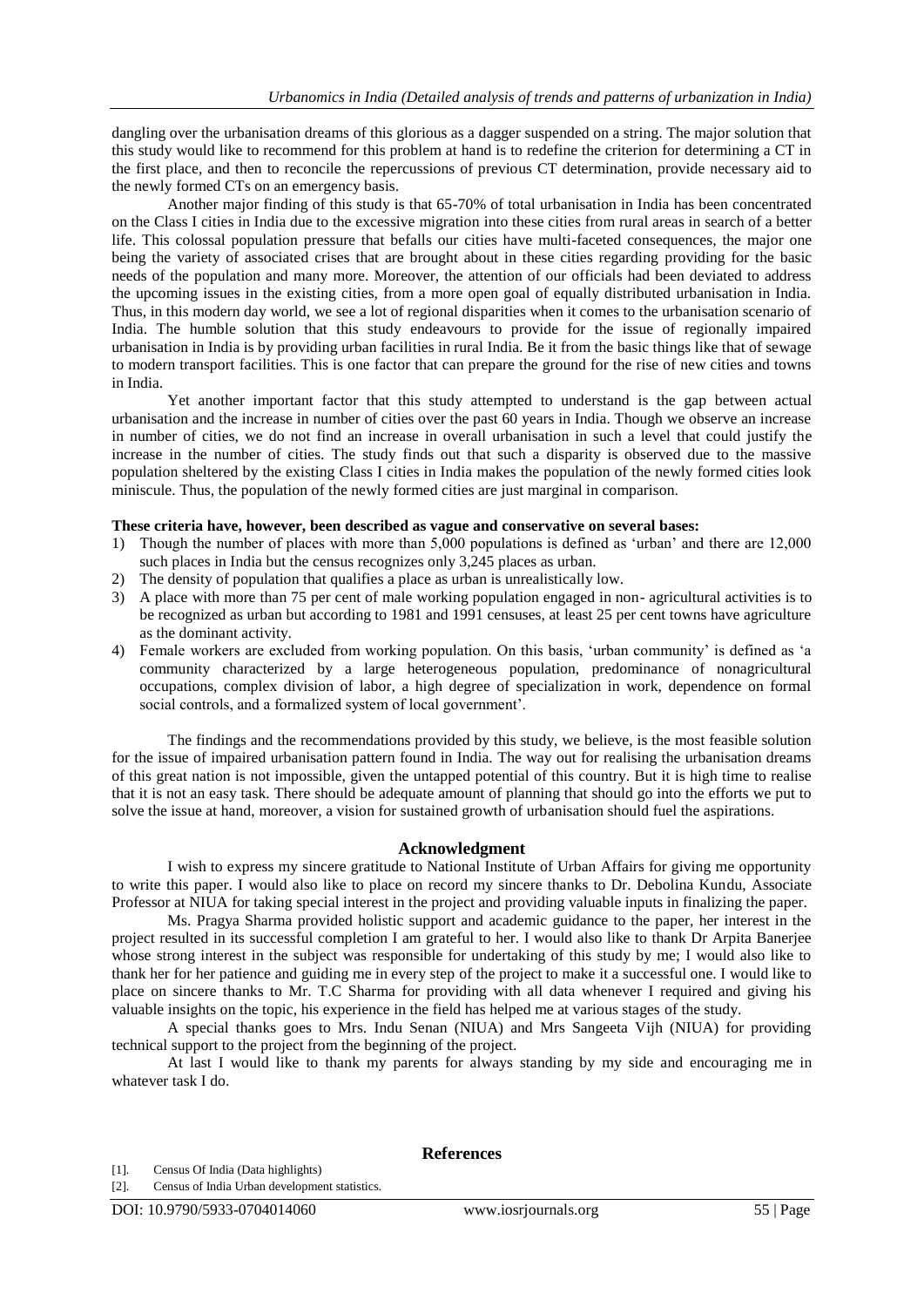dangling over the urbanisation dreams of this glorious as a dagger suspended on a string. The major solution that this study would like to recommend for this problem at hand is to redefine the criterion for determining a CT in the first place, and then to reconcile the repercussions of previous CT determination, provide necessary aid to the newly formed CTs on an emergency basis.

Another major finding of this study is that 65-70% of total urbanisation in India has been concentrated on the Class I cities in India due to the excessive migration into these cities from rural areas in search of a better life. This colossal population pressure that befalls our cities have multi-faceted consequences, the major one being the variety of associated crises that are brought about in these cities regarding providing for the basic needs of the population and many more. Moreover, the attention of our officials had been deviated to address the upcoming issues in the existing cities, from a more open goal of equally distributed urbanisation in India. Thus, in this modern day world, we see a lot of regional disparities when it comes to the urbanisation scenario of India. The humble solution that this study endeavours to provide for the issue of regionally impaired urbanisation in India is by providing urban facilities in rural India. Be it from the basic things like that of sewage to modern transport facilities. This is one factor that can prepare the ground for the rise of new cities and towns in India.

Yet another important factor that this study attempted to understand is the gap between actual urbanisation and the increase in number of cities over the past 60 years in India. Though we observe an increase in number of cities, we do not find an increase in overall urbanisation in such a level that could justify the increase in the number of cities. The study finds out that such a disparity is observed due to the massive population sheltered by the existing Class I cities in India makes the population of the newly formed cities look miniscule. Thus, the population of the newly formed cities are just marginal in comparison.

#### **These criteria have, however, been described as vague and conservative on several bases:**

- 1) Though the number of places with more than 5,000 populations is defined as 'urban' and there are 12,000 such places in India but the census recognizes only 3,245 places as urban.
- 2) The density of population that qualifies a place as urban is unrealistically low.
- 3) A place with more than 75 per cent of male working population engaged in non- agricultural activities is to be recognized as urban but according to 1981 and 1991 censuses, at least 25 per cent towns have agriculture as the dominant activity.
- 4) Female workers are excluded from working population. On this basis, 'urban community' is defined as 'a community characterized by a large heterogeneous population, predominance of nonagricultural occupations, complex division of labor, a high degree of specialization in work, dependence on formal social controls, and a formalized system of local government'.

The findings and the recommendations provided by this study, we believe, is the most feasible solution for the issue of impaired urbanisation pattern found in India. The way out for realising the urbanisation dreams of this great nation is not impossible, given the untapped potential of this country. But it is high time to realise that it is not an easy task. There should be adequate amount of planning that should go into the efforts we put to solve the issue at hand, moreover, a vision for sustained growth of urbanisation should fuel the aspirations.

#### **Acknowledgment**

I wish to express my sincere gratitude to National Institute of Urban Affairs for giving me opportunity to write this paper. I would also like to place on record my sincere thanks to Dr. Debolina Kundu, Associate Professor at NIUA for taking special interest in the project and providing valuable inputs in finalizing the paper.

Ms. Pragya Sharma provided holistic support and academic guidance to the paper, her interest in the project resulted in its successful completion I am grateful to her. I would also like to thank Dr Arpita Banerjee whose strong interest in the subject was responsible for undertaking of this study by me; I would also like to thank her for her patience and guiding me in every step of the project to make it a successful one. I would like to place on sincere thanks to Mr. T.C Sharma for providing with all data whenever I required and giving his valuable insights on the topic, his experience in the field has helped me at various stages of the study.

A special thanks goes to Mrs. Indu Senan (NIUA) and Mrs Sangeeta Vijh (NIUA) for providing technical support to the project from the beginning of the project.

At last I would like to thank my parents for always standing by my side and encouraging me in whatever task I do.

**References**

[1]. Census Of India (Data highlights)

[2]. Census of India Urban development statistics.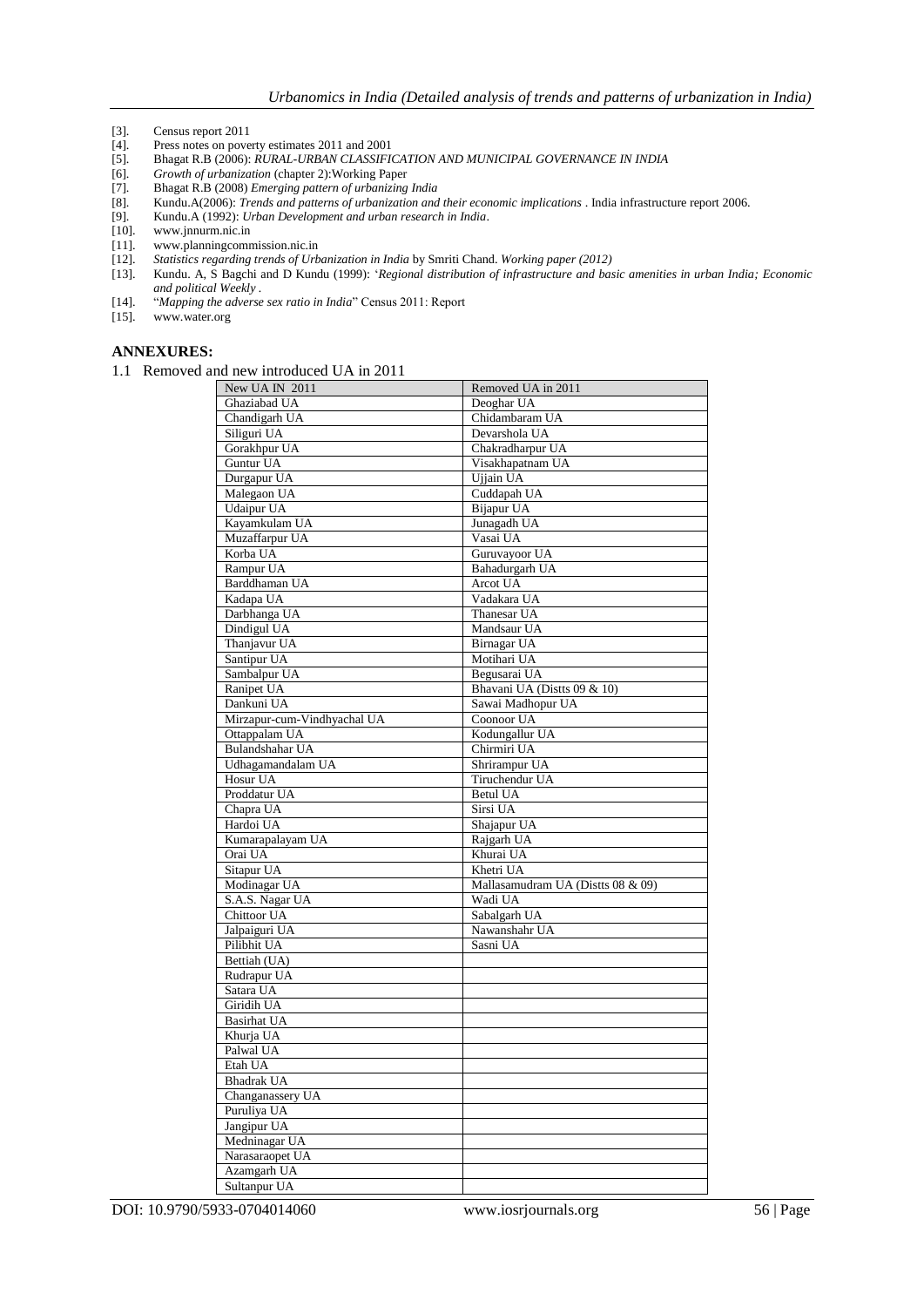- [3]. Census report 2011<br>[4]. Press notes on pove
- Press notes on poverty estimates 2011 and 2001
- [5]. Bhagat R.B (2006): *RURAL-URBAN CLASSIFICATION AND MUNICIPAL GOVERNANCE IN INDIA*
- [6]. *Growth of urbanization* (chapter 2):Working Paper
- [7]. Bhagat R.B (2008) *Emerging pattern of urbanizing India*
- [8]. Kundu.A(2006): *Trends and patterns of urbanization and their economic implications* . India infrastructure report 2006.
- [9]. Kundu.A (1992): *Urban Development and urban research in India*.
- [10]. www.jnnurm.nic.in<br>[11]. www.planningcomr
- [11]. www.planningcommission.nic.in
- [12]. *Statistics regarding trends of Urbanization in India* by Smriti Chand. *Working paper (2012)*
- [13]. Kundu. A, S Bagchi and D Kundu (1999): ‗*Regional distribution of infrastructure and basic amenities in urban India; Economic and political Weekly .*
- [14]. ―*Mapping the adverse sex ratio in India*‖ Census 2011: Report
- [15]. www.water.org

#### **ANNEXURES:**

1.1 Removed and new introduced UA in 2011

| New UA IN 2011              | Removed UA in 2011                |
|-----------------------------|-----------------------------------|
| Ghaziabad UA                | Deoghar UA                        |
| Chandigarh UA               | Chidambaram UA                    |
| Siliguri UA                 | Devarshola UA                     |
| Gorakhpur UA                | Chakradharpur UA                  |
| Guntur UA                   | Visakhapatnam UA                  |
| Durgapur UA                 | Ujjain UA                         |
| Malegaon UA                 | Cuddapah UA                       |
| <b>Udaipur UA</b>           | Bijapur UA                        |
| Kayamkulam UA               | Junagadh UA                       |
| Muzaffarpur UA              | Vasai UA                          |
| Korba UA                    | Guruvayoor UA                     |
| Rampur UA                   | Bahadurgarh UA                    |
| Barddhaman UA               | Arcot UA                          |
| Kadapa UA                   | Vadakara UA                       |
| Darbhanga UA                | Thanesar UA                       |
| Dindigul UA                 | Mandsaur UA                       |
| Thanjavur UA                | Birnagar UA                       |
| Santipur UA                 | Motihari UA                       |
| Sambalpur UA                | Begusarai UA                      |
| Ranipet UA                  | Bhavani UA (Distts 09 & 10)       |
| Dankuni UA                  | Sawai Madhopur UA                 |
| Mirzapur-cum-Vindhyachal UA | Coonoor UA                        |
| Ottappalam UA               | Kodungallur UA                    |
| Bulandshahar UA             | Chirmiri UA                       |
| Udhagamandalam UA           | Shrirampur UA                     |
| Hosur UA                    | Tiruchendur UA                    |
| Proddatur UA                | <b>Betul UA</b>                   |
| Chapra UA                   | Sirsi UA                          |
| Hardoi UA                   | Shajapur UA                       |
| Kumarapalayam UA            | Rajgarh UA                        |
| Orai UA                     | Khurai UA                         |
| Sitapur UA                  | Khetri UA                         |
| Modinagar UA                | Mallasamudram UA (Distts 08 & 09) |
| S.A.S. Nagar UA             | Wadi UA                           |
| Chittoor UA                 | Sabalgarh UA                      |
| Jalpaiguri UA               | Nawanshahr UA                     |
| Pilibhit UA                 | Sasni UA                          |
| Bettiah (UA)                |                                   |
| Rudrapur UA                 |                                   |
| Satara UA                   |                                   |
| Giridih UA                  |                                   |
| <b>Basirhat UA</b>          |                                   |
| Khurja UA                   |                                   |
| Palwal UA                   |                                   |
| Etah UA                     |                                   |
| <b>Bhadrak UA</b>           |                                   |
| Changanassery UA            |                                   |
| Puruliya UA                 |                                   |
| Jangipur UA                 |                                   |
| Medninagar UA               |                                   |
| Narasaraopet UA             |                                   |
| Azamgarh UA                 |                                   |
| Sultanpur UA                |                                   |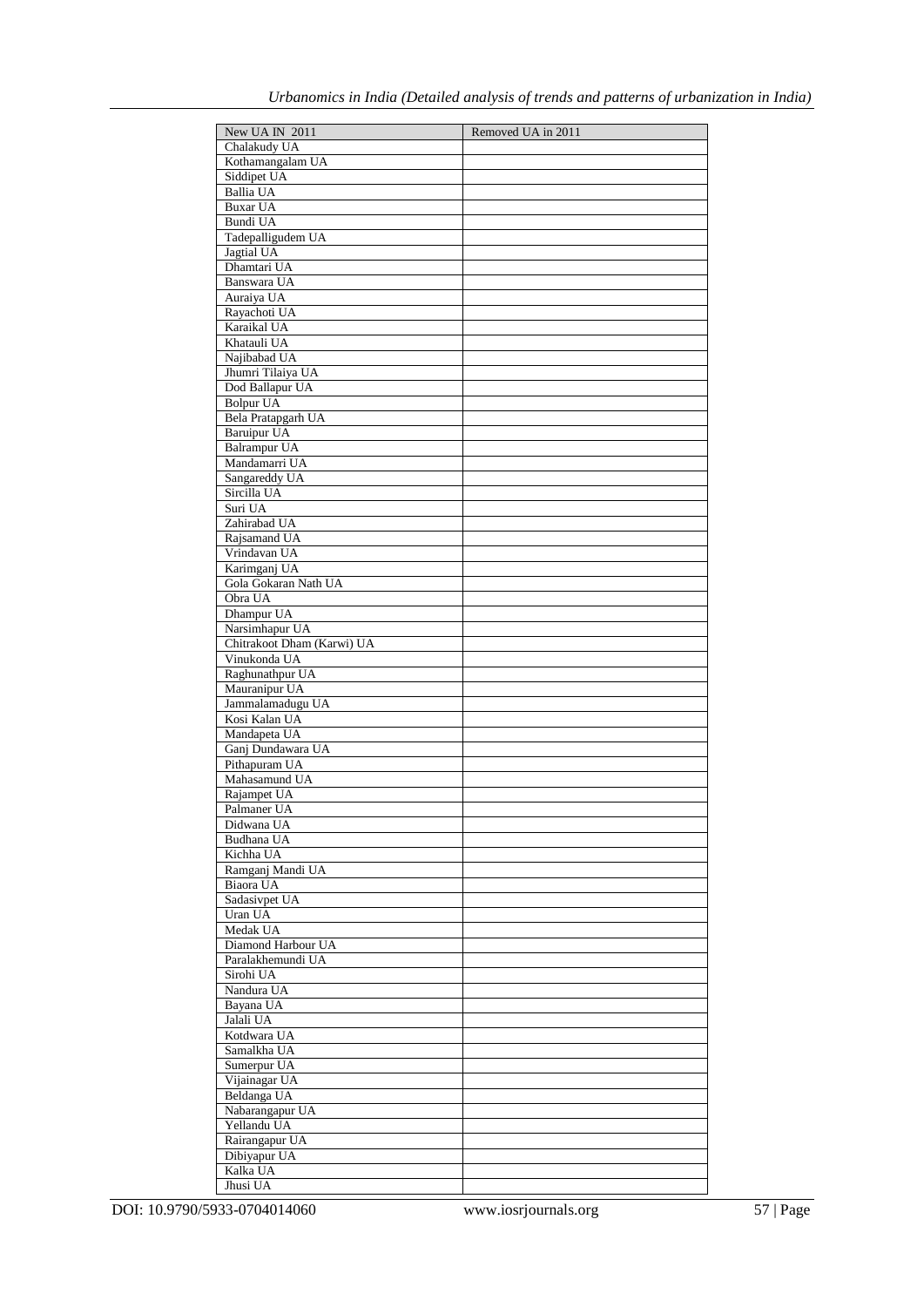| New UA IN 2011             | Removed UA in 2011 |
|----------------------------|--------------------|
| Chalakudy UA               |                    |
|                            |                    |
| Kothamangalam UA           |                    |
| Siddipet UA                |                    |
| Ballia UA                  |                    |
| <b>Buxar UA</b>            |                    |
| Bundi UA                   |                    |
| Tadepalligudem UA          |                    |
|                            |                    |
| Jagtial UA                 |                    |
| Dhamtari UA                |                    |
| Banswara UA                |                    |
| Auraiya UA                 |                    |
| Rayachoti UA               |                    |
| Karaikal UA                |                    |
| Khatauli UA                |                    |
|                            |                    |
| Najibabad UA               |                    |
| Jhumri Tilaiya UA          |                    |
| Dod Ballapur UA            |                    |
| <b>Bolpur UA</b>           |                    |
| Bela Pratapgarh UA         |                    |
| <b>Baruipur UA</b>         |                    |
| <b>Balrampur UA</b>        |                    |
|                            |                    |
| Mandamarri UA              |                    |
| Sangareddy UA              |                    |
| Sircilla UA                |                    |
| Suri UA                    |                    |
| Zahirabad UA               |                    |
| Rajsamand UA               |                    |
| Vrindavan UA               |                    |
|                            |                    |
| Karimganj UA               |                    |
| Gola Gokaran Nath UA       |                    |
| Obra UA                    |                    |
| Dhampur UA                 |                    |
| Narsimhapur UA             |                    |
| Chitrakoot Dham (Karwi) UA |                    |
| Vinukonda UA               |                    |
|                            |                    |
| Raghunathpur UA            |                    |
| Mauranipur UA              |                    |
| Jammalamadugu UA           |                    |
| Kosi Kalan UA              |                    |
| Mandapeta UA               |                    |
| Ganj Dundawara UA          |                    |
| Pithapuram UA              |                    |
|                            |                    |
| Mahasamund UA              |                    |
| Rajampet UA                |                    |
| Palmaner UA                |                    |
| Didwana UA                 |                    |
| Budhana UA                 |                    |
| Kichha UA                  |                    |
| Ramganj Mandi UA           |                    |
|                            |                    |
| Biaora UA                  |                    |
| Sadasivpet UA              |                    |
| Uran UA                    |                    |
| Medak UA                   |                    |
| Diamond Harbour UA         |                    |
| Paralakhemundi UA          |                    |
| Sirohi UA                  |                    |
|                            |                    |
| Nandura UA                 |                    |
| Bayana UA                  |                    |
| Jalali UA                  |                    |
| Kotdwara UA                |                    |
| Samalkha UA                |                    |
| Sumerpur UA                |                    |
| Vijainagar UA              |                    |
|                            |                    |
| Beldanga UA                |                    |
| Nabarangapur UA            |                    |
| Yellandu UA                |                    |
| Rairangapur UA             |                    |
| Dibiyapur UA               |                    |
| Kalka UA                   |                    |
| Jhusi UA                   |                    |
|                            |                    |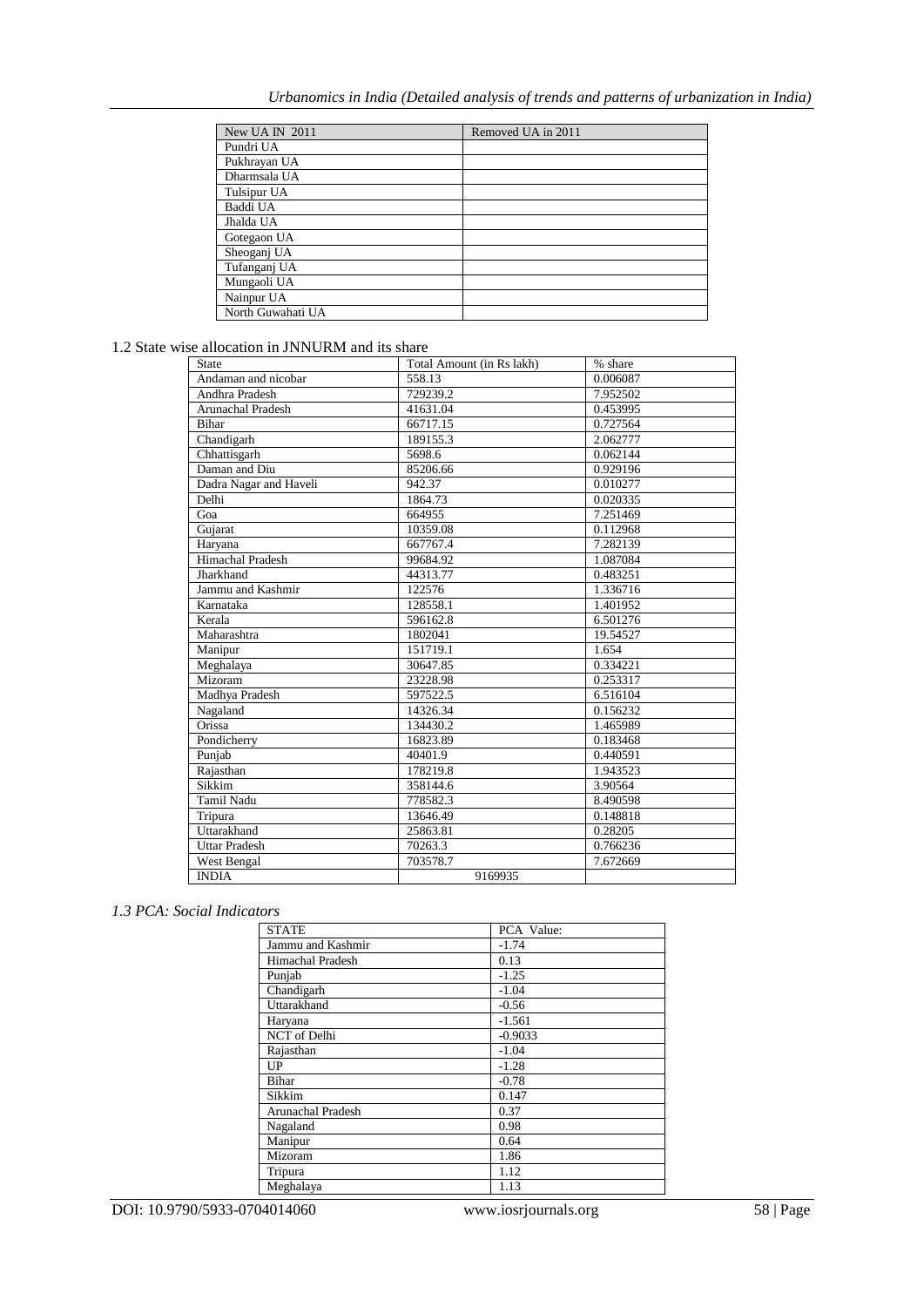| New UA IN 2011    | Removed UA in 2011 |
|-------------------|--------------------|
| Pundri UA         |                    |
| Pukhrayan UA      |                    |
| Dharmsala UA      |                    |
| Tulsipur UA       |                    |
| Baddi UA          |                    |
| Jhalda UA         |                    |
| Gotegaon UA       |                    |
| Sheoganj UA       |                    |
| Tufanganj UA      |                    |
| Mungaoli UA       |                    |
| Nainpur UA        |                    |
| North Guwahati UA |                    |

1.2 State wise allocation in JNNURM and its share

| State                    | Total Amount (in Rs lakh) | % share               |
|--------------------------|---------------------------|-----------------------|
| Andaman and nicobar      | 558.13                    | 0.006087              |
| Andhra Pradesh           | 729239.2                  | 7.952502              |
| <b>Arunachal Pradesh</b> | 41631.04                  | 0.453995              |
| <b>Bihar</b>             | 66717.15                  | 0.727564              |
| Chandigarh               | 189155.3                  | 2.062777              |
| Chhattisgarh             | 5698.6                    | $0.062\overline{144}$ |
| Daman and Diu            | 85206.66                  | 0.929196              |
| Dadra Nagar and Haveli   | 942.37                    | 0.010277              |
| Delhi                    | 1864.73                   | 0.020335              |
| Goa                      | 664955                    | 7.251469              |
| Gujarat                  | 10359.08                  | 0.112968              |
| Haryana                  | 667767.4                  | 7.282139              |
| Himachal Pradesh         | 99684.92                  | 1.087084              |
| Jharkhand                | 44313.77                  | 0.483251              |
| Jammu and Kashmir        | 122576                    | 1.336716              |
| Karnataka                | 128558.1                  | 1.401952              |
| Kerala                   | 596162.8                  | 6.501276              |
| Maharashtra              | 1802041                   | 19.54527              |
| Manipur                  | 151719.1                  | 1.654                 |
| Meghalaya                | 30647.85                  | 0.334221              |
| Mizoram                  | 23228.98                  | 0.253317              |
| Madhya Pradesh           | 597522.5                  | 6.516104              |
| Nagaland                 | 14326.34                  | 0.156232              |
| Orissa                   | 134430.2                  | 1.465989              |
| Pondicherry              | 16823.89                  | 0.183468              |
| Punjab                   | 40401.9                   | 0.440591              |
| Rajasthan                | 178219.8                  | 1.943523              |
| Sikkim                   | 358144.6                  | 3.90564               |
| <b>Tamil Nadu</b>        | 778582.3                  | 8.490598              |
| Tripura                  | 13646.49                  | 0.148818              |
| Uttarakhand              | 25863.81                  | 0.28205               |
| <b>Uttar Pradesh</b>     | 70263.3                   | 0.766236              |
| West Bengal              | 703578.7                  | 7.672669              |
| <b>INDIA</b>             | 9169935                   |                       |

## *1.3 PCA: Social Indicators*

| <b>STATE</b>            | PCA Value: |
|-------------------------|------------|
| Jammu and Kashmir       | $-1.74$    |
| <b>Himachal Pradesh</b> | 0.13       |
| Punjab                  | $-1.25$    |
| Chandigarh              | $-1.04$    |
| Uttarakhand             | $-0.56$    |
| Haryana                 | $-1.561$   |
| NCT of Delhi            | $-0.9033$  |
| Rajasthan               | $-1.04$    |
| UP                      | $-1.28$    |
| <b>Bihar</b>            | $-0.78$    |
| Sikkim                  | 0.147      |
| Arunachal Pradesh       | 0.37       |
| Nagaland                | 0.98       |
| Manipur                 | 0.64       |
| Mizoram                 | 1.86       |
| Tripura                 | 1.12       |
| Meghalaya               | 1.13       |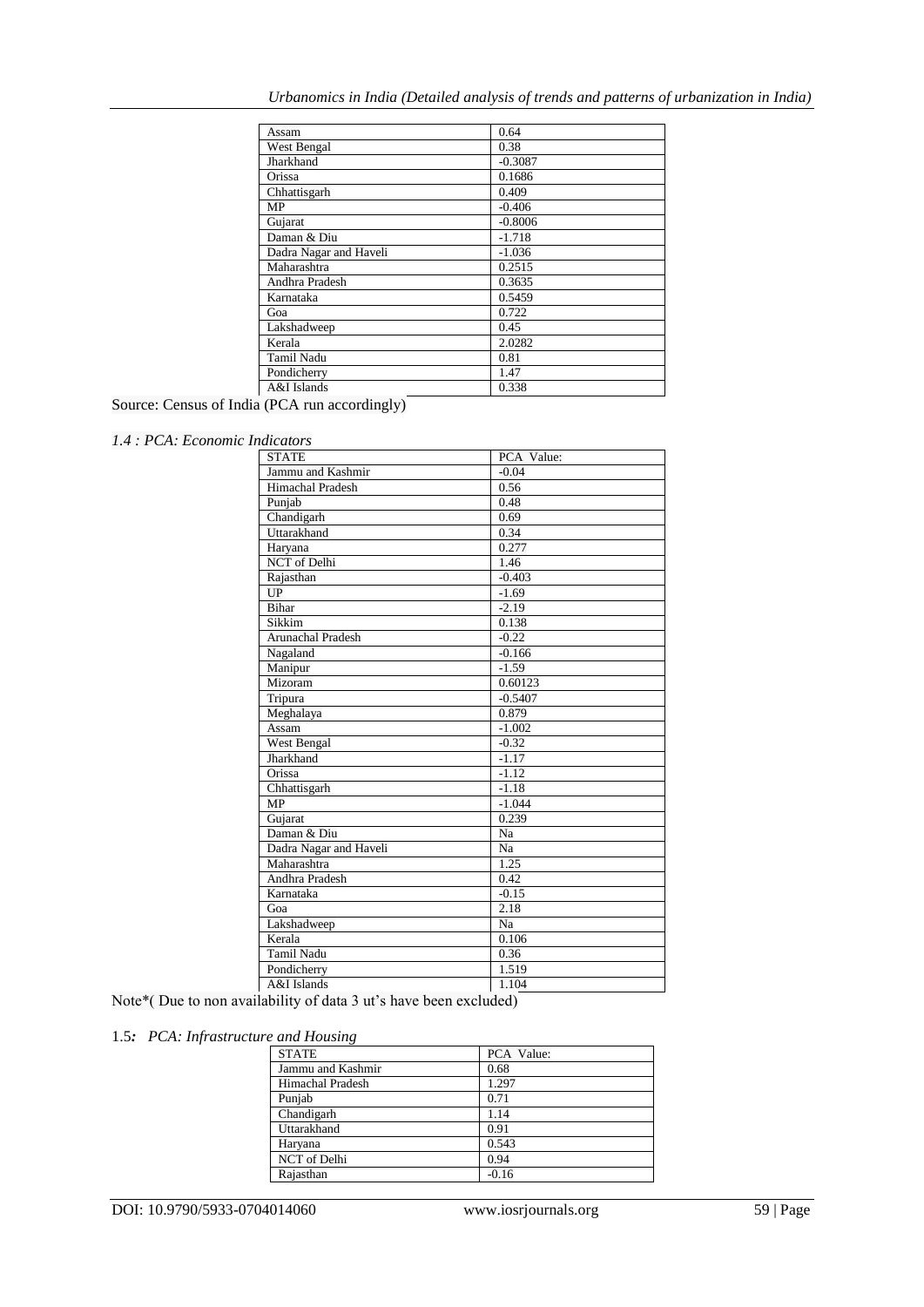| Assam                  | 0.64      |
|------------------------|-----------|
| West Bengal            | 0.38      |
| Jharkhand              | $-0.3087$ |
| Orissa                 | 0.1686    |
| Chhattisgarh           | 0.409     |
| MP                     | $-0.406$  |
| Gujarat                | $-0.8006$ |
| Daman & Diu            | $-1.718$  |
| Dadra Nagar and Haveli | $-1.036$  |
| Maharashtra            | 0.2515    |
| Andhra Pradesh         | 0.3635    |
| Karnataka              | 0.5459    |
| Goa                    | 0.722     |
| Lakshadweep            | 0.45      |
| Kerala                 | 2.0282    |
| <b>Tamil Nadu</b>      | 0.81      |
| Pondicherry            | 1.47      |
| A&I Islands            | 0.338     |

Source: Census of India (PCA run accordingly)

## *1.4 : PCA: Economic Indicators*

| <b>STATE</b>             | PCA Value: |  |
|--------------------------|------------|--|
| Jammu and Kashmir        | $-0.04$    |  |
| <b>Himachal Pradesh</b>  | 0.56       |  |
| Punjab                   | 0.48       |  |
| Chandigarh               | 0.69       |  |
| Uttarakhand              | 0.34       |  |
| Haryana                  | 0.277      |  |
| <b>NCT</b> of Delhi      | 1.46       |  |
| Rajasthan                | $-0.403$   |  |
| UP                       | $-1.69$    |  |
| Bihar                    | $-2.19$    |  |
| Sikkim                   | 0.138      |  |
| <b>Arunachal Pradesh</b> | $-0.22$    |  |
| Nagaland                 | $-0.166$   |  |
| Manipur                  | $-1.59$    |  |
| Mizoram                  | 0.60123    |  |
| Tripura                  | $-0.5407$  |  |
| Meghalaya                | 0.879      |  |
| Assam                    | $-1.002$   |  |
| West Bengal              | $-0.32$    |  |
| Jharkhand                | $-1.17$    |  |
| Orissa                   | $-1.12$    |  |
| Chhattisgarh             | $-1.18$    |  |
| <b>MP</b>                | $-1.044$   |  |
| Gujarat                  | 0.239      |  |
| Daman & Diu              | Na         |  |
| Dadra Nagar and Haveli   | Na         |  |
| Maharashtra              | 1.25       |  |
| Andhra Pradesh           | 0.42       |  |
| Karnataka                | $-0.15$    |  |
| Goa                      | 2.18       |  |
| Lakshadweep              | Na         |  |
| Kerala                   | 0.106      |  |
| <b>Tamil Nadu</b>        | 0.36       |  |
| Pondicherry              | 1.519      |  |
| A&I Islands              | 1.104      |  |

Note\*( Due to non availability of data 3 ut's have been excluded)

## 1.5*: PCA: Infrastructure and Housing*

| <b>STATE</b>            | PCA Value: |
|-------------------------|------------|
| Jammu and Kashmir       | 0.68       |
| <b>Himachal Pradesh</b> | 1.297      |
| Punjab                  | 0.71       |
| Chandigarh              | 1.14       |
| Uttarakhand             | 0.91       |
| Haryana                 | 0.543      |
| NCT of Delhi            | 0.94       |
| Raiasthan               | $-0.16$    |